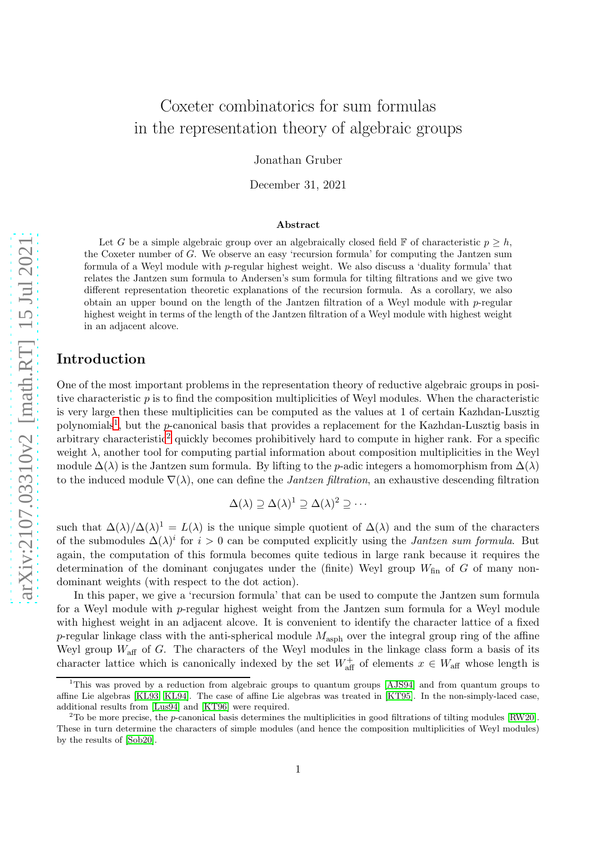# Coxeter combinatorics for sum formulas in the representation theory of algebraic groups

Jonathan Gruber

December 31, 2021

#### Abstract

Let G be a simple algebraic group over an algebraically closed field F of characteristic  $p \geq h$ , the Coxeter number of G. We observe an easy 'recursion formula' for computing the Jantzen sum formula of a Weyl module with p-regular highest weight. We also discuss a 'duality formula' that relates the Jantzen sum formula to Andersen's sum formula for tilting filtrations and we give two different representation theoretic explanations of the recursion formula. As a corollary, we also obtain an upper bound on the length of the Jantzen filtration of a Weyl module with  $p$ -regular highest weight in terms of the length of the Jantzen filtration of a Weyl module with highest weight in an adjacent alcove.

### Introduction

One of the most important problems in the representation theory of reductive algebraic groups in positive characteristic p is to find the composition multiplicities of Weyl modules. When the characteristic is very large then these multiplicities can be computed as the values at 1 of certain Kazhdan-Lusztig polynomials<sup>[1](#page-0-0)</sup>, but the *p*-canonical basis that provides a replacement for the Kazhdan-Lusztig basis in arbitrary characteristic<sup>[2](#page-0-1)</sup> quickly becomes prohibitively hard to compute in higher rank. For a specific weight  $\lambda$ , another tool for computing partial information about composition multiplicities in the Weyl module  $\Delta(\lambda)$  is the Jantzen sum formula. By lifting to the p-adic integers a homomorphism from  $\Delta(\lambda)$ to the induced module  $\nabla(\lambda)$ , one can define the *Jantzen filtration*, an exhaustive descending filtration

$$
\Delta(\lambda) \supseteq \Delta(\lambda)^1 \supseteq \Delta(\lambda)^2 \supseteq \cdots
$$

such that  $\Delta(\lambda)/\Delta(\lambda)^1 = L(\lambda)$  is the unique simple quotient of  $\Delta(\lambda)$  and the sum of the characters of the submodules  $\Delta(\lambda)^i$  for  $i > 0$  can be computed explicitly using the *Jantzen sum formula*. But again, the computation of this formula becomes quite tedious in large rank because it requires the determination of the dominant conjugates under the (finite) Weyl group  $W_{fin}$  of G of many nondominant weights (with respect to the dot action).

In this paper, we give a 'recursion formula' that can be used to compute the Jantzen sum formula for a Weyl module with p-regular highest weight from the Jantzen sum formula for a Weyl module with highest weight in an adjacent alcove. It is convenient to identify the character lattice of a fixed p-regular linkage class with the anti-spherical module  $M_{\rm asph}$  over the integral group ring of the affine Weyl group  $W_{\text{aff}}$  of G. The characters of the Weyl modules in the linkage class form a basis of its character lattice which is canonically indexed by the set  $W_{\text{aff}}^+$  of elements  $x \in W_{\text{aff}}$  whose length is

<span id="page-0-0"></span><sup>&</sup>lt;sup>1</sup>This was proved by a reduction from algebraic groups to quantum groups [\[AJS94\]](#page-21-0) and from quantum groups to affine Lie algebras [\[KL93,](#page-21-1) [KL94\]](#page-21-2). The case of affine Lie algebras was treated in [\[KT95\]](#page-21-3). In the non-simply-laced case, additional results from [\[Lus94\]](#page-21-4) and [\[KT96\]](#page-21-5) were required.

<span id="page-0-1"></span> $2^2$ To be more precise, the p-canonical basis determines the multiplicities in good filtrations of tilting modules [\[RW20\]](#page-21-6). These in turn determine the characters of simple modules (and hence the composition multiplicities of Weyl modules) by the results of [\[Sob20\]](#page-21-7).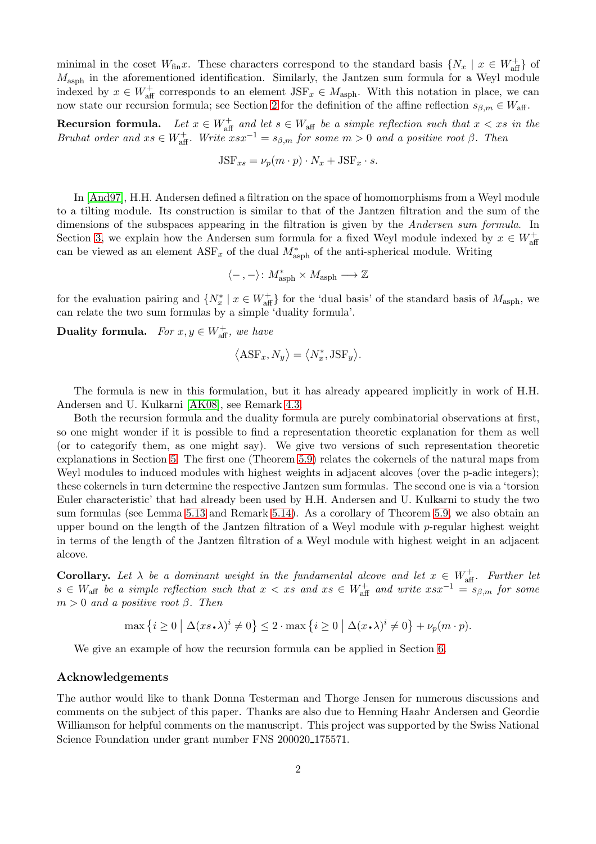minimal in the coset  $W_{fin}x$ . These characters correspond to the standard basis  $\{N_x \mid x \in W_{aff}^+\}$  of  $M_{\rm asph}$  in the aforementioned identification. Similarly, the Jantzen sum formula for a Weyl module indexed by  $x \in W_{\text{aff}}^+$  corresponds to an element  $JSF_x \in M_{\text{asph}}$ . With this notation in place, we can now state our recursion formula; see Section [2](#page-3-0) for the definition of the affine reflection  $s_{\beta,m} \in W_{\text{aff}}$ .

**Recursion formula.** Let  $x \in W_{\text{aff}}^+$  and let  $s \in W_{\text{aff}}$  be a simple reflection such that  $x < xs$  in the Bruhat order and  $xs \in W_{\text{aff}}^+$ . Write  $xsx^{-1} = s_{\beta,m}$  for some  $m > 0$  and a positive root  $\beta$ . Then

$$
JSF_{xs} = \nu_p(m \cdot p) \cdot N_x + JSF_x \cdot s.
$$

In [\[And97\]](#page-21-8), H.H. Andersen defined a filtration on the space of homomorphisms from a Weyl module to a tilting module. Its construction is similar to that of the Jantzen filtration and the sum of the dimensions of the subspaces appearing in the filtration is given by the Andersen sum formula. In Section [3,](#page-5-0) we explain how the Andersen sum formula for a fixed Weyl module indexed by  $x \in W_{\text{aff}}^+$ can be viewed as an element  $\text{ASF}_x$  of the dual  $M^*_{\text{asph}}$  of the anti-spherical module. Writing

$$
\langle\text{--}\,,\text{--}\rangle\colon M_{\rm asph}^*\times M_{\rm asph}\longrightarrow \mathbb{Z}
$$

for the evaluation pairing and  $\{N_x^* \mid x \in W_{\text{aff}}^+\}$  for the 'dual basis' of the standard basis of  $M_{\text{asph}}$ , we can relate the two sum formulas by a simple 'duality formula'.

**Duality formula.** For  $x, y \in W_{\text{aff}}^+$ , we have

$$
\left\langle \text{ASF}_x, N_y \right\rangle = \left\langle N_x^*, \text{JSF}_y \right\rangle.
$$

The formula is new in this formulation, but it has already appeared implicitly in work of H.H. Andersen and U. Kulkarni [\[AK08\]](#page-21-9), see Remark [4.3.](#page-9-0)

Both the recursion formula and the duality formula are purely combinatorial observations at first, so one might wonder if it is possible to find a representation theoretic explanation for them as well (or to categorify them, as one might say). We give two versions of such representation theoretic explanations in Section [5.](#page-9-1) The first one (Theorem [5.9\)](#page-13-0) relates the cokernels of the natural maps from Weyl modules to induced modules with highest weights in adjacent alcoves (over the p-adic integers); these cokernels in turn determine the respective Jantzen sum formulas. The second one is via a 'torsion Euler characteristic' that had already been used by H.H. Andersen and U. Kulkarni to study the two sum formulas (see Lemma [5.13](#page-17-0) and Remark [5.14\)](#page-18-0). As a corollary of Theorem [5.9,](#page-13-0) we also obtain an upper bound on the length of the Jantzen filtration of a Weyl module with p-regular highest weight in terms of the length of the Jantzen filtration of a Weyl module with highest weight in an adjacent alcove.

**Corollary.** Let  $\lambda$  be a dominant weight in the fundamental alcove and let  $x \in W_{\text{aff}}^+$ . Further let  $s \in W_{\text{aff}}$  be a simple reflection such that  $x < xs$  and  $xs \in W_{\text{aff}}^+$  and write  $xsx^{-1} = s_{\beta,m}$  for some  $m > 0$  and a positive root  $\beta$ . Then

 $\max\left\{i\geq 0 \mid \Delta(xs\boldsymbol{\cdot}\lambda)^i\neq 0\right\}\leq 2\cdot\max\left\{i\geq 0 \mid \Delta(x\boldsymbol{\cdot}\lambda)^i\neq 0\right\}+\nu_p(m\cdot p).$ 

We give an example of how the recursion formula can be applied in Section [6.](#page-19-0)

#### Acknowledgements

The author would like to thank Donna Testerman and Thorge Jensen for numerous discussions and comments on the subject of this paper. Thanks are also due to Henning Haahr Andersen and Geordie Williamson for helpful comments on the manuscript. This project was supported by the Swiss National Science Foundation under grant number FNS 200020<sub>-175571</sub>.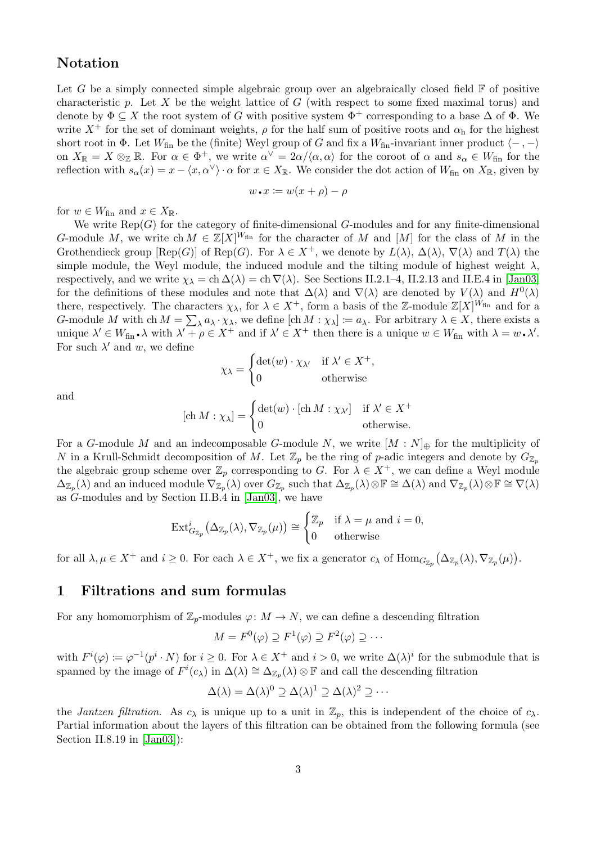# Notation

Let G be a simply connected simple algebraic group over an algebraically closed field  $\mathbb F$  of positive characteristic  $p$ . Let  $X$  be the weight lattice of  $G$  (with respect to some fixed maximal torus) and denote by  $\Phi \subseteq X$  the root system of G with positive system  $\Phi^+$  corresponding to a base  $\Delta$  of  $\Phi$ . We write  $X^+$  for the set of dominant weights,  $\rho$  for the half sum of positive roots and  $\alpha_h$  for the highest short root in  $\Phi$ . Let  $W_{fin}$  be the (finite) Weyl group of G and fix a  $W_{fin}$ -invariant inner product  $\langle -, - \rangle$ on  $X_{\mathbb{R}} = X \otimes_{\mathbb{Z}} \mathbb{R}$ . For  $\alpha \in \Phi^+$ , we write  $\alpha^{\vee} = 2\alpha/\langle \alpha, \alpha \rangle$  for the coroot of  $\alpha$  and  $s_{\alpha} \in W_{\text{fin}}$  for the reflection with  $s_{\alpha}(x) = x - \langle x, \alpha^{\vee} \rangle \cdot \alpha$  for  $x \in X_{\mathbb{R}}$ . We consider the dot action of  $W_{\text{fin}}$  on  $X_{\mathbb{R}}$ , given by

$$
w\,\textcolor{red}{\textbf{-}}\,x\coloneqq w(x+\rho)-\rho
$$

for  $w \in W_{\text{fin}}$  and  $x \in X_{\mathbb{R}}$ .

We write  $\text{Rep}(G)$  for the category of finite-dimensional G-modules and for any finite-dimensional G-module M, we write ch  $M \in \mathbb{Z}[X]^{W_{fin}}$  for the character of M and  $[M]$  for the class of M in the Grothendieck group  $[Rep(G)]$  of  $Rep(G)$ . For  $\lambda \in X^+$ , we denote by  $L(\lambda)$ ,  $\Delta(\lambda)$ ,  $\nabla(\lambda)$  and  $T(\lambda)$  the simple module, the Weyl module, the induced module and the tilting module of highest weight  $\lambda$ , respectively, and we write  $\chi_{\lambda} = \text{ch} \Delta(\lambda) = \text{ch} \nabla(\lambda)$ . See Sections II.2.1–4, II.2.13 and II.E.4 in [\[Jan03\]](#page-21-10) for the definitions of these modules and note that  $\Delta(\lambda)$  and  $\nabla(\lambda)$  are denoted by  $V(\lambda)$  and  $H^0(\lambda)$ there, respectively. The characters  $\chi_{\lambda}$ , for  $\lambda \in X^+$ , form a basis of the Z-module  $\mathbb{Z}[X]^{W_{fin}}$  and for a G-module M with ch  $M = \sum_{\lambda} a_{\lambda} \cdot \chi_{\lambda}$ , we define  $[\text{ch } M : \chi_{\lambda}] := a_{\lambda}$ . For arbitrary  $\lambda \in X$ , there exists a unique  $\lambda' \in W_{fin} \cdot \lambda$  with  $\lambda' + \rho \in X^+$  and if  $\lambda' \in X^+$  then there is a unique  $w \in W_{fin}$  with  $\lambda = w \cdot \lambda'$ . For such  $\lambda'$  and w, we define

$$
\chi_{\lambda} = \begin{cases} \det(w) \cdot \chi_{\lambda'} & \text{if } \lambda' \in X^+, \\ 0 & \text{otherwise} \end{cases}
$$

and

$$
[\text{ch } M : \chi_{\lambda}] = \begin{cases} \det(w) \cdot [\text{ch } M : \chi_{\lambda'}] & \text{if } \lambda' \in X^+ \\ 0 & \text{otherwise.} \end{cases}
$$

For a G-module M and an indecomposable G-module N, we write  $[M : N]_{\oplus}$  for the multiplicity of N in a Krull-Schmidt decomposition of M. Let  $\mathbb{Z}_p$  be the ring of p-adic integers and denote by  $G_{\mathbb{Z}_p}$ the algebraic group scheme over  $\mathbb{Z}_p$  corresponding to G. For  $\lambda \in X^+$ , we can define a Weyl module  $\Delta_{\mathbb{Z}_p}(\lambda)$  and an induced module  $\nabla_{\mathbb{Z}_p}(\lambda)$  over  $G_{\mathbb{Z}_p}$  such that  $\Delta_{\mathbb{Z}_p}(\lambda)\otimes \mathbb{F}\cong \Delta(\lambda)$  and  $\nabla_{\mathbb{Z}_p}(\lambda)\otimes \mathbb{F}\cong \nabla(\lambda)$ as G-modules and by Section II.B.4 in [\[Jan03\]](#page-21-10), we have

$$
\operatorname{Ext}^i_{G_{\mathbb{Z}_p}}(\Delta_{\mathbb{Z}_p}(\lambda), \nabla_{\mathbb{Z}_p}(\mu)) \cong \begin{cases} \mathbb{Z}_p & \text{if } \lambda = \mu \text{ and } i = 0, \\ 0 & \text{otherwise} \end{cases}
$$

for all  $\lambda, \mu \in X^+$  and  $i \geq 0$ . For each  $\lambda \in X^+$ , we fix a generator  $c_{\lambda}$  of  $\text{Hom}_{G_{\mathbb{Z}_p}}(\Delta_{\mathbb{Z}_p}(\lambda), \nabla_{\mathbb{Z}_p}(\mu)).$ 

## <span id="page-2-0"></span>1 Filtrations and sum formulas

For any homomorphism of  $\mathbb{Z}_p$ -modules  $\varphi: M \to N$ , we can define a descending filtration

$$
M = F^{0}(\varphi) \supseteq F^{1}(\varphi) \supseteq F^{2}(\varphi) \supseteq \cdots
$$

with  $F^i(\varphi) \coloneqq \varphi^{-1}(p^i \cdot N)$  for  $i \geq 0$ . For  $\lambda \in X^+$  and  $i > 0$ , we write  $\Delta(\lambda)^i$  for the submodule that is spanned by the image of  $F^i(c_\lambda)$  in  $\Delta(\lambda) \cong \Delta_{\mathbb{Z}_p}(\lambda) \otimes \mathbb{F}$  and call the descending filtration

$$
\Delta(\lambda) = \Delta(\lambda)^0 \supseteq \Delta(\lambda)^1 \supseteq \Delta(\lambda)^2 \supseteq \cdots
$$

the *Jantzen filtration*. As  $c_{\lambda}$  is unique up to a unit in  $\mathbb{Z}_p$ , this is independent of the choice of  $c_{\lambda}$ . Partial information about the layers of this filtration can be obtained from the following formula (see Section II.8.19 in [\[Jan03\]](#page-21-10)):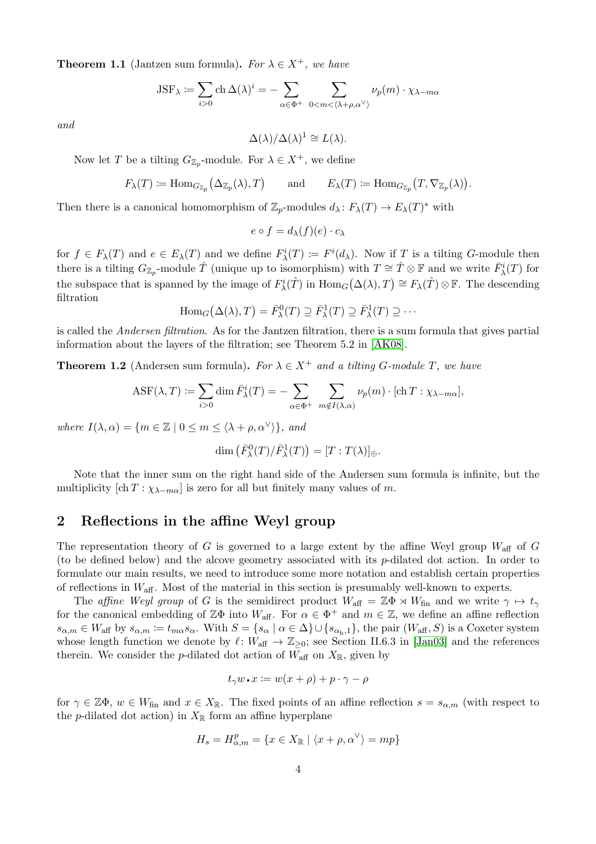**Theorem 1.1** (Jantzen sum formula). For  $\lambda \in X^+$ , we have

$$
JSF_{\lambda} := \sum_{i>0} \text{ch} \,\Delta(\lambda)^i = -\sum_{\alpha \in \Phi^+} \sum_{0 < m < \langle \lambda + \rho, \alpha^{\vee} \rangle} \nu_p(m) \cdot \chi_{\lambda - m\alpha}
$$

and

$$
\Delta(\lambda)/\Delta(\lambda)^1 \cong L(\lambda).
$$

Now let T be a tilting  $G_{\mathbb{Z}_p}$ -module. For  $\lambda \in X^+$ , we define

$$
F_{\lambda}(T) \coloneqq \text{Hom}_{G_{\mathbb{Z}_p}}(\Delta_{\mathbb{Z}_p}(\lambda), T) \quad \text{and} \quad E_{\lambda}(T) \coloneqq \text{Hom}_{G_{\mathbb{Z}_p}}(T, \nabla_{\mathbb{Z}_p}(\lambda)).
$$

Then there is a canonical homomorphism of  $\mathbb{Z}_p$ -modules  $d_\lambda: F_\lambda(T) \to E_\lambda(T)^*$  with

$$
e \circ f = d_{\lambda}(f)(e) \cdot c_{\lambda}
$$

for  $f \in F_\lambda(T)$  and  $e \in E_\lambda(T)$  and we define  $F_\lambda^i(T) := F^i(d_\lambda)$ . Now if T is a tilting G-module then there is a tilting  $G_{\mathbb{Z}_p}$ -module  $\hat{T}$  (unique up to isomorphism) with  $T \cong \hat{T} \otimes \mathbb{F}$  and we write  $\bar{F}^i_{\lambda}(T)$  for the subspace that is spanned by the image of  $F_{\lambda}^{i}(\hat{T})$  in  $\text{Hom}_{G}(\Delta(\lambda), T) \cong F_{\lambda}(\hat{T}) \otimes \mathbb{F}$ . The descending filtration

$$
\text{Hom}_G(\Delta(\lambda), T) = \bar{F}^0_\lambda(T) \supseteq \bar{F}^1_\lambda(T) \supseteq \bar{F}^1_\lambda(T) \supseteq \cdots
$$

is called the Andersen filtration. As for the Jantzen filtration, there is a sum formula that gives partial information about the layers of the filtration; see Theorem 5.2 in [\[AK08\]](#page-21-9).

**Theorem 1.2** (Andersen sum formula). For  $\lambda \in X^+$  and a tilting G-module T, we have

$$
ASF(\lambda, T) := \sum_{i>0} \dim \overline{F}_{\lambda}^{i}(T) = - \sum_{\alpha \in \Phi^{+}} \sum_{m \notin I(\lambda, \alpha)} \nu_{p}(m) \cdot [\text{ch } T : \chi_{\lambda - m\alpha}],
$$

where  $I(\lambda, \alpha) = \{m \in \mathbb{Z} \mid 0 \leq m \leq \langle \lambda + \rho, \alpha^{\vee} \rangle\}$ , and

$$
\dim\left(\bar{F}_{\lambda}^{0}(T)/\bar{F}_{\lambda}^{1}(T)\right)=[T:T(\lambda)]_{\oplus}.
$$

Note that the inner sum on the right hand side of the Andersen sum formula is infinite, but the multiplicity  $[\text{ch } T : \chi_{\lambda-m\alpha}]$  is zero for all but finitely many values of m.

# <span id="page-3-0"></span>2 Reflections in the affine Weyl group

The representation theory of G is governed to a large extent by the affine Weyl group  $W_{\text{aff}}$  of G (to be defined below) and the alcove geometry associated with its p-dilated dot action. In order to formulate our main results, we need to introduce some more notation and establish certain properties of reflections in  $W_{\text{aff}}$ . Most of the material in this section is presumably well-known to experts.

The affine Weyl group of G is the semidirect product  $W_{\text{aff}} = \mathbb{Z}\Phi \rtimes W_{\text{fin}}$  and we write  $\gamma \mapsto t_{\gamma}$ for the canonical embedding of  $\mathbb{Z}\Phi$  into  $W_{\text{aff}}$ . For  $\alpha \in \Phi^+$  and  $m \in \mathbb{Z}$ , we define an affine reflection  $s_{\alpha,m} \in W_{\text{aff}}$  by  $s_{\alpha,m} \coloneqq t_{m\alpha}s_{\alpha}$ . With  $S = \{s_{\alpha} \mid \alpha \in \Delta\} \cup \{s_{\alpha_{h},1}\}\$ , the pair  $(W_{\text{aff}}, S)$  is a Coxeter system whose length function we denote by  $\ell: W_{\text{aff}} \to \mathbb{Z}_{\geq 0}$ ; see Section II.6.3 in [\[Jan03\]](#page-21-10) and the references therein. We consider the p-dilated dot action of  $W_{\text{aff}}$  on  $X_{\mathbb{R}}$ , given by

$$
t_\gamma w\,\textcolor{red}{\boldsymbol{\cdot}}\! x\coloneqq w(x+\rho)+p\cdot\gamma-\rho
$$

for  $\gamma \in \mathbb{Z}\Phi$ ,  $w \in W_{\text{fin}}$  and  $x \in X_{\mathbb{R}}$ . The fixed points of an affine reflection  $s = s_{\alpha,m}$  (with respect to the p-dilated dot action) in  $X_{\mathbb{R}}$  form an affine hyperplane

$$
H_s = H^p_{\alpha,m} = \{ x \in X_{\mathbb{R}} \mid \langle x + \rho, \alpha^{\vee} \rangle = mp \}
$$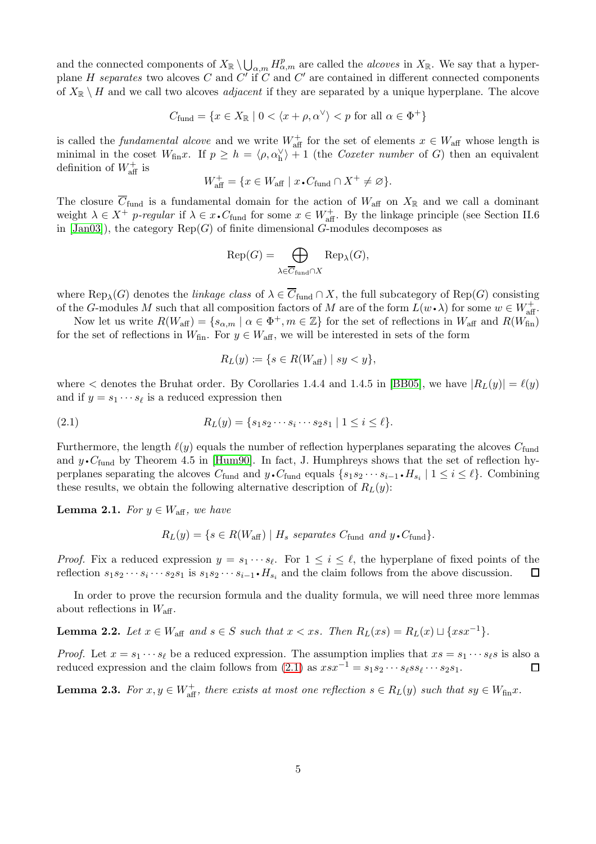and the connected components of  $X_{\mathbb{R}} \setminus \bigcup_{\alpha,m} H_{\alpha,m}^p$  are called the *alcoves* in  $X_{\mathbb{R}}$ . We say that a hyperplane H separates two alcoves C and C' if C and C' are contained in different connected components of  $X_{\mathbb{R}} \setminus H$  and we call two alcoves *adjacent* if they are separated by a unique hyperplane. The alcove

$$
C_{\text{fund}} = \{ x \in X_{\mathbb{R}} \mid 0 < \langle x + \rho, \alpha^{\vee} \rangle < p \text{ for all } \alpha \in \Phi^+ \}
$$

is called the *fundamental alcove* and we write  $W_{\text{aff}}^+$  for the set of elements  $x \in W_{\text{aff}}$  whose length is minimal in the coset  $W_{\text{fin}}x$ . If  $p \ge h = \langle \rho, \alpha_h^{\vee} \rangle + 1$  (the *Coxeter number* of G) then an equivalent definition of  $W_{\text{aff}}^+$  is

$$
W_{\text{aff}}^+ = \{ x \in W_{\text{aff}} \mid x \cdot C_{\text{fund}} \cap X^+ \neq \varnothing \}.
$$

The closure  $\overline{C}_{\text{fund}}$  is a fundamental domain for the action of  $W_{\text{aff}}$  on  $X_{\mathbb{R}}$  and we call a dominant weight  $\lambda \in X^+$  p-regular if  $\lambda \in x \cdot C_{\text{fund}}$  for some  $x \in W_{\text{aff}}^+$ . By the linkage principle (see Section II.6 in  $[\text{Jan}03]$ , the category  $\text{Rep}(G)$  of finite dimensional G-modules decomposes as

$$
\text{Rep}(G) = \bigoplus_{\lambda \in \overline{C}_{\text{fund}} \cap X} \text{Rep}_{\lambda}(G),
$$

where  $\text{Rep}_{\lambda}(G)$  denotes the *linkage class* of  $\lambda \in C_{\text{fund}} \cap X$ , the full subcategory of  $\text{Rep}(G)$  consisting of the G-modules M such that all composition factors of M are of the form  $L(w \cdot \lambda)$  for some  $w \in W_{\text{aff}}^+$ .

Now let us write  $R(W_{\text{aff}}) = \{s_{\alpha,m} \mid \alpha \in \Phi^+, m \in \mathbb{Z}\}\)$  for the set of reflections in  $W_{\text{aff}}$  and  $R(W_{\text{fin}})$ for the set of reflections in  $W_{fin}$ . For  $y \in W_{aff}$ , we will be interested in sets of the form

<span id="page-4-0"></span>
$$
R_L(y) \coloneqq \{ s \in R(W_{\text{aff}}) \mid sy < y \},
$$

where  $\lt$  denotes the Bruhat order. By Corollaries 1.4.4 and 1.4.5 in [\[BB05\]](#page-21-11), we have  $|R_L(y)| = \ell(y)$ and if  $y = s_1 \cdots s_\ell$  is a reduced expression then

(2.1) 
$$
R_L(y) = \{s_1s_2\cdots s_i\cdots s_2s_1 \mid 1 \leq i \leq \ell\}.
$$

Furthermore, the length  $\ell(y)$  equals the number of reflection hyperplanes separating the alcoves  $C_{\text{fund}}$ and  $y \cdot C_{\text{fund}}$  by Theorem 4.5 in [\[Hum90\]](#page-21-12). In fact, J. Humphreys shows that the set of reflection hyperplanes separating the alcoves  $C_{\text{fund}}$  and  $y \cdot C_{\text{fund}}$  equals  $\{s_1s_2 \cdots s_{i-1} \cdot H_{s_i} \mid 1 \le i \le \ell\}$ . Combining these results, we obtain the following alternative description of  $R_L(y)$ :

<span id="page-4-1"></span>**Lemma 2.1.** For  $y \in W_{\text{aff}}$ , we have

 $R_L(y) = \{s \in R(W_{\text{aff}}) \mid H_s \text{ separates } C_{\text{fund}} \text{ and } y \cdot C_{\text{fund}}\}.$ 

*Proof.* Fix a reduced expression  $y = s_1 \cdots s_\ell$ . For  $1 \leq i \leq \ell$ , the hyperplane of fixed points of the reflection  $s_1 s_2 \cdots s_i \cdots s_2 s_1$  is  $s_1 s_2 \cdots s_{i-1} \cdot H_{s_i}$  and the claim follows from the above discussion.  $\Box$ 

In order to prove the recursion formula and the duality formula, we will need three more lemmas about reflections in  $W_{\text{aff}}$ .

**Lemma 2.2.** Let  $x \in W_{\text{aff}}$  and  $s \in S$  such that  $x < xs$ . Then  $R_L(xs) = R_L(x) \sqcup \{xsx^{-1}\}.$ 

*Proof.* Let  $x = s_1 \cdots s_\ell$  be a reduced expression. The assumption implies that  $xs = s_1 \cdots s_\ell s$  is also a reduced expression and the claim follows from  $(2.1)$  as  $xsx^{-1} = s_1s_2 \cdots s_\ell ss_\ell \cdots s_2s_1$ .  $\Box$ 

<span id="page-4-2"></span>**Lemma 2.3.** For  $x, y \in W_{\text{aff}}^+$ , there exists at most one reflection  $s \in R_L(y)$  such that  $sy \in W_{\text{fin}}x$ .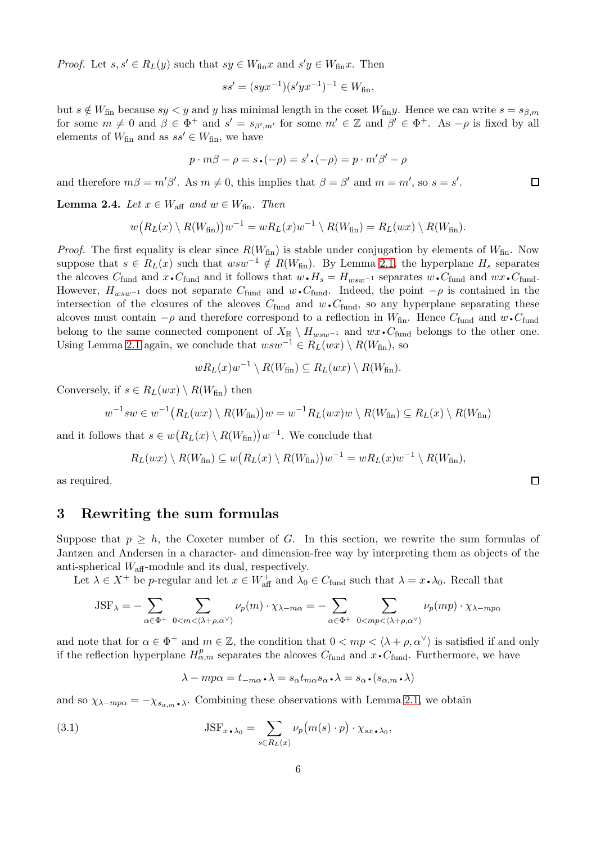*Proof.* Let  $s, s' \in R_L(y)$  such that  $sy \in W_{\text{fin}}x$  and  $s'y \in W_{\text{fin}}x$ . Then

$$
ss' = (syx^{-1})(s'yx^{-1})^{-1} \in W_{\text{fin}},
$$

but  $s \notin W_{fin}$  because  $sy < y$  and y has minimal length in the coset  $W_{fin}y$ . Hence we can write  $s = s_{\beta,m}$ for some  $m \neq 0$  and  $\beta \in \Phi^+$  and  $s' = s_{\beta', m'}$  for some  $m' \in \mathbb{Z}$  and  $\beta' \in \Phi^+$ . As  $-\rho$  is fixed by all elements of  $W_{fin}$  and as  $ss' \in W_{fin}$ , we have

$$
p \cdot m\beta - \rho = s \cdot (-\rho) = s' \cdot (-\rho) = p \cdot m'\beta' - \rho
$$

and therefore  $m\beta = m'\beta'$ . As  $m \neq 0$ , this implies that  $\beta = \beta'$  and  $m = m'$ , so  $s = s'$ .

<span id="page-5-2"></span>**Lemma 2.4.** Let  $x \in W_{\text{aff}}$  and  $w \in W_{\text{fin}}$ . Then

$$
w\big(R_L(x)\setminus R(W_{\text{fin}})\big)w^{-1}=wR_L(x)w^{-1}\setminus R(W_{\text{fin}})=R_L(wx)\setminus R(W_{\text{fin}}).
$$

*Proof.* The first equality is clear since  $R(W_{fin})$  is stable under conjugation by elements of  $W_{fin}$ . Now suppose that  $s \in R_L(x)$  such that  $wsw^{-1} \notin R(W_{fin})$ . By Lemma [2.1,](#page-4-1) the hyperplane  $H_s$  separates the alcoves  $C_{\text{fund}}$  and  $x \cdot C_{\text{fund}}$  and it follows that  $w \cdot H_s = H_{wsw^{-1}}$  separates  $w \cdot C_{\text{fund}}$  and  $wx \cdot C_{\text{fund}}$ . However,  $H_{wsw^{-1}}$  does not separate  $C_{\text{fund}}$  and  $w \cdot C_{\text{fund}}$ . Indeed, the point  $-\rho$  is contained in the intersection of the closures of the alcoves  $C_{\text{fund}}$  and  $w \cdot C_{\text{fund}}$ , so any hyperplane separating these alcoves must contain  $-\rho$  and therefore correspond to a reflection in  $W_{fin}$ . Hence  $C_{fund}$  and  $w \cdot C_{fund}$ belong to the same connected component of  $X_{\mathbb{R}} \setminus H_{wsw^{-1}}$  and  $wx\cdot C_{\text{fund}}$  belongs to the other one. Using Lemma [2.1](#page-4-1) again, we conclude that  $wsw^{-1} \in R_L(wx) \setminus R(W_{fin}),$  so

$$
wR_L(x)w^{-1}\setminus R(W_{\text{fin}})\subseteq R_L(wx)\setminus R(W_{\text{fin}}).
$$

Conversely, if  $s \in R_L(wx) \setminus R(W_{fin})$  then

$$
w^{-1}sw \in w^{-1}(R_L(wx) \setminus R(W_{\text{fin}}))w = w^{-1}R_L(wx)w \setminus R(W_{\text{fin}}) \subseteq R_L(x) \setminus R(W_{\text{fin}})
$$

and it follows that  $s \in w(R_L(x) \setminus R(W_{fin}))w^{-1}$ . We conclude that

$$
R_L(wx) \setminus R(W_{\text{fin}}) \subseteq w\big(R_L(x) \setminus R(W_{\text{fin}})\big)w^{-1} = wR_L(x)w^{-1} \setminus R(W_{\text{fin}}),
$$

as required.

### <span id="page-5-0"></span>3 Rewriting the sum formulas

Suppose that  $p > h$ , the Coxeter number of G. In this section, we rewrite the sum formulas of Jantzen and Andersen in a character- and dimension-free way by interpreting them as objects of the anti-spherical  $W_{\text{aff}}$ -module and its dual, respectively.

Let  $\lambda \in X^+$  be p-regular and let  $x \in W_{\text{aff}}^+$  and  $\lambda_0 \in C_{\text{fund}}$  such that  $\lambda = x \cdot \lambda_0$ . Recall that

$$
JSF_{\lambda} = -\sum_{\alpha \in \Phi^+} \sum_{0 < m < \langle \lambda + \rho, \alpha^{\vee} \rangle} \nu_p(m) \cdot \chi_{\lambda - m\alpha} = -\sum_{\alpha \in \Phi^+} \sum_{0 < mp < \langle \lambda + \rho, \alpha^{\vee} \rangle} \nu_p(mp) \cdot \chi_{\lambda - mp\alpha}
$$

and note that for  $\alpha \in \Phi^+$  and  $m \in \mathbb{Z}$ , the condition that  $0 < mp < \langle \lambda + \rho, \alpha^{\vee} \rangle$  is satisfied if and only if the reflection hyperplane  $H_{\alpha,m}^p$  separates the alcoves  $C_{\text{fund}}$  and  $\hat{x} \cdot C_{\text{fund}}$ . Furthermore, we have

$$
\lambda - mp\alpha = t_{-m\alpha} \cdot \lambda = s_{\alpha} t_{m\alpha} s_{\alpha} \cdot \lambda = s_{\alpha} \cdot (s_{\alpha,m} \cdot \lambda)
$$

and so  $\chi_{\lambda - mp\alpha} = -\chi_{s_{\alpha,m}\lambda}$ . Combining these observations with Lemma [2.1,](#page-4-1) we obtain

(3.1) 
$$
\text{JSF}_{x \cdot \lambda_0} = \sum_{s \in R_L(x)} \nu_p(m(s) \cdot p) \cdot \chi_{sx \cdot \lambda_0},
$$

<span id="page-5-1"></span> $\Box$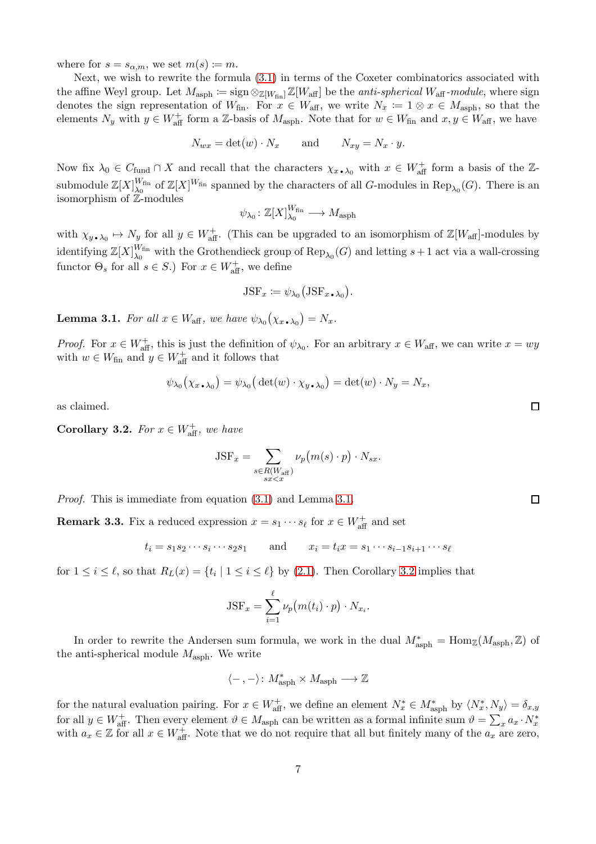where for  $s = s_{\alpha,m}$ , we set  $m(s) \coloneqq m$ .

Next, we wish to rewrite the formula [\(3.1\)](#page-5-1) in terms of the Coxeter combinatorics associated with the affine Weyl group. Let  $M_{\rm asph} := \text{sign} \otimes_{\mathbb{Z}[W_{\rm fin}]} \mathbb{Z}[W_{\rm aff}]$  be the *anti-spherical*  $W_{\rm aff}$ -module, where sign denotes the sign representation of  $W_{fin}$ . For  $x \in W_{aff}$ , we write  $N_x := 1 \otimes x \in M_{asph}$ , so that the elements  $N_y$  with  $y \in W_{\text{aff}}^+$  form a Z-basis of  $M_{\text{asph}}$ . Note that for  $w \in W_{\text{fin}}$  and  $x, y \in W_{\text{aff}}$ , we have

$$
N_{wx} = \det(w) \cdot N_x \quad \text{and} \quad N_{xy} = N_x \cdot y.
$$

Now fix  $\lambda_0 \in C_{\text{fund}} \cap X$  and recall that the characters  $\chi_{x \bullet, \lambda_0}$  with  $x \in W_{\text{aff}}^+$  form a basis of the Zsubmodule  $\mathbb{Z}[X]_{\lambda_0}^{W_{\text{fin}}}$  $\binom{W_{fin}}{\lambda_0}$  of  $\mathbb{Z}[X]^{W_{fin}}$  spanned by the characters of all G-modules in  $\text{Rep}_{\lambda_0}(G)$ . There is an isomorphism of Z-modules

$$
\psi_{\lambda_0}\colon \mathbb{Z}[X]_{\lambda_0}^{W_{\mathrm{fin}}} \longrightarrow M_{\mathrm{asph}}
$$

with  $\chi_{y \bullet, \lambda_0} \mapsto N_y$  for all  $y \in W_{\text{aff}}^+$ . (This can be upgraded to an isomorphism of  $\mathbb{Z}[W_{\text{aff}}]$ -modules by identifying  $\mathbb{Z}[X]_{\lambda_0}^{W_{\text{fin}}}$  $\chi_{\lambda_0}^{W_{\text{fin}}}$  with the Grothendieck group of  $\text{Rep}_{\lambda_0}(G)$  and letting  $s+1$  act via a wall-crossing functor  $\Theta_s$  for all  $s \in S$ .) For  $x \in W_{\text{aff}}^+$ , we define

$$
JSF_x := \psi_{\lambda_0} (JSF_{x \bullet \lambda_0}).
$$

<span id="page-6-0"></span>**Lemma 3.1.** For all  $x \in W_{\text{aff}}$ , we have  $\psi_{\lambda_0}(\chi_x, \chi_0) = N_x$ .

*Proof.* For  $x \in W_{\text{aff}}^+$ , this is just the definition of  $\psi_{\lambda_0}$ . For an arbitrary  $x \in W_{\text{aff}}$ , we can write  $x = wy$ with  $w \in W_{\text{fin}}$  and  $y \in W_{\text{aff}}^+$  and it follows that

$$
\psi_{\lambda_0}(\chi_{x \bullet \lambda_0}) = \psi_{\lambda_0}(\det(w) \cdot \chi_{y \bullet \lambda_0}) = \det(w) \cdot N_y = N_x,
$$

as claimed.

<span id="page-6-1"></span>**Corollary 3.2.** For  $x \in W_{\text{aff}}^+$ , we have

$$
JSF_x = \sum_{\substack{s \in R(W_{\text{aff}}) \\ sx < x}} \nu_p(m(s) \cdot p) \cdot N_{sx}.
$$

Proof. This is immediate from equation [\(3.1\)](#page-5-1) and Lemma [3.1.](#page-6-0)

**Remark 3.3.** Fix a reduced expression  $x = s_1 \cdots s_\ell$  for  $x \in W_{\text{aff}}^+$  and set

$$
t_i = s_1 s_2 \cdots s_i \cdots s_2 s_1
$$
 and  $x_i = t_i x = s_1 \cdots s_{i-1} s_{i+1} \cdots s_\ell$ 

for  $1 \leq i \leq \ell$ , so that  $R_L(x) = \{t_i \mid 1 \leq i \leq \ell\}$  by [\(2.1\)](#page-4-0). Then Corollary [3.2](#page-6-1) implies that

$$
JSF_x = \sum_{i=1}^{\ell} \nu_p(m(t_i) \cdot p) \cdot N_{x_i}.
$$

In order to rewrite the Andersen sum formula, we work in the dual  $M^*_{\text{asph}} = \text{Hom}_{\mathbb{Z}}(M_{\text{asph}}, \mathbb{Z})$  of the anti-spherical module  $M_{\rm asph}$ . We write

$$
\langle\mathord{\hspace{1pt}\text{--}\hspace{1pt}},\mathord{\hspace{1pt}\text{--}\hspace{1pt}}\rangle\colon M^*_{\mathrm{asph}}\times M_{\mathrm{asph}}\longrightarrow \mathbb{Z}
$$

for the natural evaluation pairing. For  $x \in W_{\text{aff}}^+$ , we define an element  $N_x^* \in M_{\text{asph}}^*$  by  $\langle N_x^*, N_y \rangle = \delta_{x,y}$ for all  $y \in W_{\text{aff}}^+$ . Then every element  $\vartheta \in M_{\text{asph}}$  can be written as a formal infinite sum  $\vartheta = \sum_x a_x \cdot N_x^*$ with  $a_x \in \mathbb{Z}$  for all  $x \in W_{\text{aff}}^+$ . Note that we do not require that all but finitely many of the  $a_x$  are zero,

 $\Box$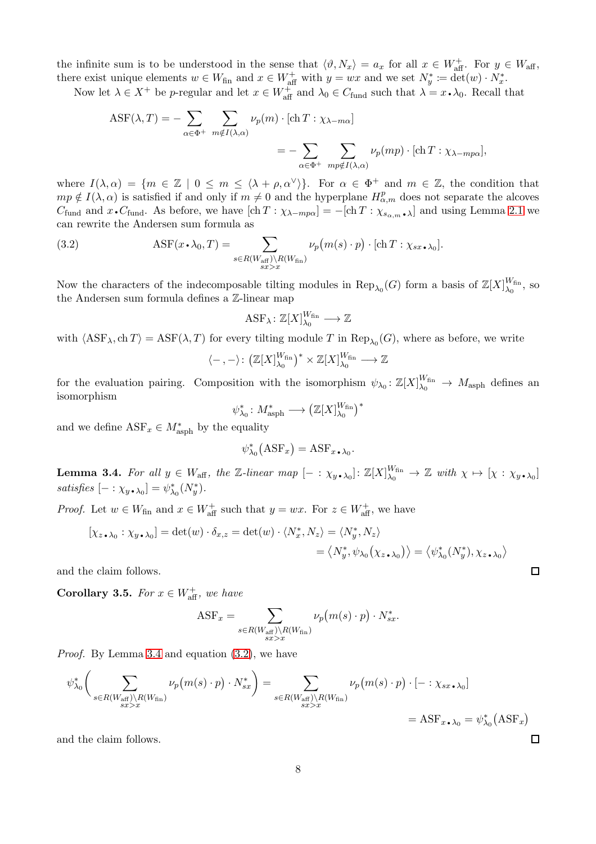the infinite sum is to be understood in the sense that  $\langle \vartheta, N_x \rangle = a_x$  for all  $x \in W_{\text{aff}}^+$ . For  $y \in W_{\text{aff}}$ , there exist unique elements  $w \in W_{fin}$  and  $x \in W_{aff}^+$  with  $y = wx$  and we set  $N_y^* := \det^2(w) \cdot N_x^*$ .

Now let  $\lambda \in X^+$  be p-regular and let  $x \in W_{\text{aff}}^+$  and  $\lambda_0 \in C_{\text{fund}}$  such that  $\lambda = x \cdot \lambda_0$ . Recall that

$$
ASF(\lambda, T) = -\sum_{\alpha \in \Phi^+} \sum_{m \notin I(\lambda, \alpha)} \nu_p(m) \cdot [\text{ch } T : \chi_{\lambda - m\alpha}]
$$
  
= 
$$
-\sum_{\alpha \in \Phi^+} \sum_{mp \notin I(\lambda, \alpha)} \nu_p(mp) \cdot [\text{ch } T : \chi_{\lambda - mp\alpha}],
$$

where  $I(\lambda, \alpha) = \{m \in \mathbb{Z} \mid 0 \leq m \leq \langle \lambda + \rho, \alpha^{\vee} \rangle\}.$  For  $\alpha \in \Phi^+$  and  $m \in \mathbb{Z}$ , the condition that  $mp \notin I(\lambda, \alpha)$  is satisfied if and only if  $m \neq 0$  and the hyperplane  $H_{\alpha,m}^p$  does not separate the alcoves  $C_{\text{fund}}$  and  $x \cdot C_{\text{fund}}$ . As before, we have  $[\text{ch } T : \chi_{\lambda - mp\alpha}] = -[\text{ch } T : \chi_{s_{\alpha,m}}]$  and using Lemma [2.1](#page-4-1) we can rewrite the Andersen sum formula as

(3.2) 
$$
\text{ASF}(x \cdot \lambda_0, T) = \sum_{s \in R(W_{\text{aff}}) \backslash R(W_{\text{fin}})} \nu_p(m(s) \cdot p) \cdot [\text{ch } T : \chi_{sx \cdot \lambda_0}].
$$

Now the characters of the indecomposable tilting modules in  $\text{Rep}_{\lambda_0}(G)$  form a basis of  $\mathbb{Z}[X]_{\lambda_0}^{W_{\text{fin}}}$  $\frac{W \text{fin}}{\lambda_0}$ , so the Andersen sum formula defines a Z-linear map

<span id="page-7-1"></span>
$$
\mathrm{ASF}_{\lambda} \colon \mathbb{Z}[X]_{\lambda_0}^{W_{\mathrm{fin}}} \longrightarrow \mathbb{Z}
$$

with  $\langle \text{ASF}_{\lambda}, \text{ch} T \rangle = \text{ASF}(\lambda, T)$  for every tilting module T in  $\text{Rep}_{\lambda_0}(G)$ , where as before, we write

$$
\langle -, - \rangle \colon \big( \mathbb{Z}[X]_{\lambda_0}^{W_{\mathrm{fin}}}\big)^* \times \mathbb{Z}[X]_{\lambda_0}^{W_{\mathrm{fin}}} \longrightarrow \mathbb{Z}
$$

for the evaluation pairing. Composition with the isomorphism  $\psi_{\lambda_0}: \mathbb{Z}[X]_{\lambda_0}^{W_{fin}} \to M_{\text{asph}}$  defines an isomorphism

$$
\psi_{\lambda_0}^*: M_{\mathrm{asph}}^* \longrightarrow \left(\mathbb{Z}[X]_{\lambda_0}^{W_{\mathrm{fin}}}\right)^*
$$

and we define  $\text{ASF}_x \in M^*_{\text{asph}}$  by the equality

$$
\psi_{\lambda_0}^*(\text{ASF}_x) = \text{ASF}_{x \bullet \lambda_0}.
$$

<span id="page-7-0"></span>**Lemma 3.4.** For all  $y \in W_{\text{aff}}$ , the Z-linear map  $[-: \chi_{y \bullet \lambda_0}] : \mathbb{Z}[X]_{\lambda_0}^{W_{\text{fin}}} \to \mathbb{Z}$  with  $\chi \mapsto [\chi : \chi_{y \bullet \lambda_0}]$ satisfies  $[-: \chi_y, \chi_0] = \psi_{\lambda_0}^*(N_y^*).$ 

*Proof.* Let  $w \in W_{fin}$  and  $x \in W_{aff}^+$  such that  $y = wx$ . For  $z \in W_{aff}^+$ , we have

$$
[\chi_{z \bullet \lambda_0} : \chi_{y \bullet \lambda_0}] = \det(w) \cdot \delta_{x,z} = \det(w) \cdot \langle N_x^*, N_z \rangle = \langle N_y^*, N_z \rangle
$$
  

$$
= \langle N_y^*, \psi_{\lambda_0}(\chi_{z \bullet \lambda_0}) \rangle = \langle \psi_{\lambda_0}^*(N_y^*), \chi_{z \bullet \lambda_0} \rangle
$$

and the claim follows.

<span id="page-7-2"></span>**Corollary 3.5.** For  $x \in W_{\text{aff}}^+$ , we have

$$
ASF_x = \sum_{\substack{s \in R(W_{\text{aff}}) \backslash R(W_{\text{fin}}) \\ sx > x}} \nu_p(m(s) \cdot p) \cdot N_{sx}^*.
$$

Proof. By Lemma [3.4](#page-7-0) and equation [\(3.2\)](#page-7-1), we have

$$
\psi_{\lambda_0}^* \bigg( \sum_{\substack{s \in R(W_{\text{aff}}) \backslash R(W_{\text{fin}}) \\ s \geq x}} \nu_p(m(s) \cdot p) \cdot N_{sx}^* \bigg) = \sum_{\substack{s \in R(W_{\text{aff}}) \backslash R(W_{\text{fin}}) \\ s \geq x}} \nu_p(m(s) \cdot p) \cdot [- : \chi_{sx \cdot \lambda_0}]
$$
  
= ASF<sub>x \cdot \lambda\_0</sub> =  $\psi_{\lambda_0}^* (ASF_x)$ 

and the claim follows.

 $\Box$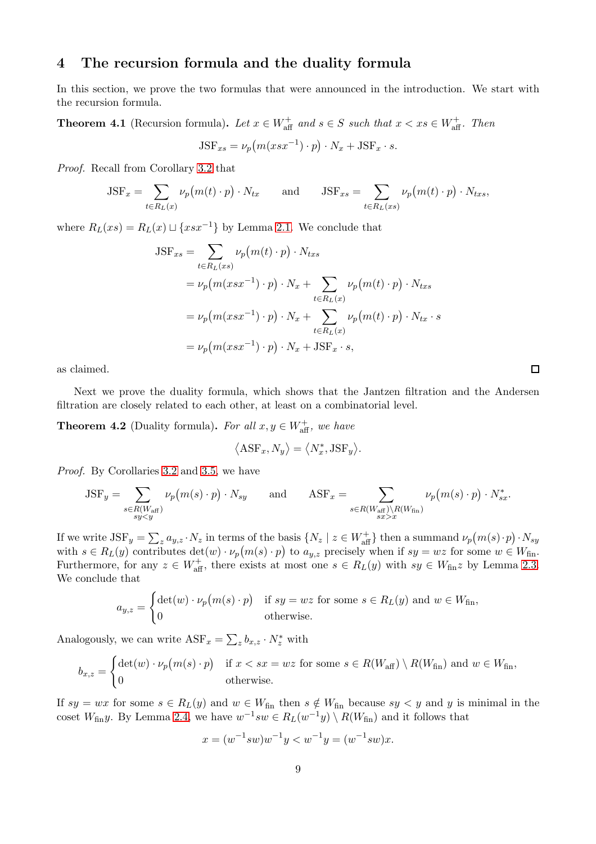# 4 The recursion formula and the duality formula

In this section, we prove the two formulas that were announced in the introduction. We start with the recursion formula.

<span id="page-8-0"></span>**Theorem 4.1** (Recursion formula). Let  $x \in W_{\text{aff}}^+$  and  $s \in S$  such that  $x < xs \in W_{\text{aff}}^+$ . Then  $JSF_{xs} = \nu_p(m(xsx^{-1}) \cdot p) \cdot N_x + JSF_x \cdot s.$ 

Proof. Recall from Corollary [3.2](#page-6-1) that

$$
JSF_x = \sum_{t \in R_L(x)} \nu_p(m(t) \cdot p) \cdot N_{tx} \quad \text{and} \quad JSF_{xs} = \sum_{t \in R_L(xs)} \nu_p(m(t) \cdot p) \cdot N_{txs},
$$

where  $R_L(xs) = R_L(x) \sqcup \{xsx^{-1}\}\$  by Lemma [2.1.](#page-4-1) We conclude that

$$
JSF_{xs} = \sum_{t \in R_L(xs)} \nu_p(m(t) \cdot p) \cdot N_{txs}
$$
  
=  $\nu_p(m(xsx^{-1}) \cdot p) \cdot N_x + \sum_{t \in R_L(x)} \nu_p(m(t) \cdot p) \cdot N_{txs}$   
=  $\nu_p(m(xsx^{-1}) \cdot p) \cdot N_x + \sum_{t \in R_L(x)} \nu_p(m(t) \cdot p) \cdot N_{tx} \cdot s$   
=  $\nu_p(m(xsx^{-1}) \cdot p) \cdot N_x + JSF_x \cdot s$ ,

as claimed.

Next we prove the duality formula, which shows that the Jantzen filtration and the Andersen filtration are closely related to each other, at least on a combinatorial level.

**Theorem 4.2** (Duality formula). For all  $x, y \in W_{\text{aff}}^+$ , we have

$$
\langle \text{ASF}_x, N_y \rangle = \langle N_x^*, \text{JSF}_y \rangle.
$$

Proof. By Corollaries [3.2](#page-6-1) and [3.5,](#page-7-2) we have

$$
\text{JSF}_y = \sum_{\substack{s \in R(W_{\text{aff}}) \\ sy < y}} \nu_p(m(s) \cdot p) \cdot N_{sy} \quad \text{and} \quad \text{ASF}_x = \sum_{\substack{s \in R(W_{\text{aff}}) \backslash R(W_{\text{fin}}) \\ sx > x}} \nu_p(m(s) \cdot p) \cdot N_{sx}^*.
$$

If we write  $\text{JSF}_y = \sum_z a_{y,z} \cdot N_z$  in terms of the basis  $\{N_z \mid z \in W_{\text{aff}}^+\}$  then a summand  $\nu_p(m(s) \cdot p) \cdot N_{sy}$ with  $s \in R_L(y)$  contributes  $\det(w) \cdot \nu_p(m(s) \cdot p)$  to  $a_{y,z}$  precisely when if  $sy = wz$  for some  $w \in W_{fin}$ . Furthermore, for any  $z \in W_{\text{aff}}^+$ , there exists at most one  $s \in R_L(y)$  with  $sy \in W_{\text{fin}}z$  by Lemma [2.3.](#page-4-2) We conclude that

$$
a_{y,z} = \begin{cases} \det(w) \cdot \nu_p(m(s) \cdot p) & \text{if } sy = wz \text{ for some } s \in R_L(y) \text{ and } w \in W_{\text{fin}}, \\ 0 & \text{otherwise.} \end{cases}
$$

Analogously, we can write  $\text{ASF}_x = \sum_z b_{x,z} \cdot N_z^*$  with

$$
b_{x,z} = \begin{cases} \det(w) \cdot \nu_p(m(s) \cdot p) & \text{if } x < sx = wz \text{ for some } s \in R(W_{\text{aff}}) \setminus R(W_{\text{fin}}) \text{ and } w \in W_{\text{fin}}, \\ 0 & \text{otherwise.} \end{cases}
$$

If  $sy = wx$  for some  $s \in R_L(y)$  and  $w \in W_{fin}$  then  $s \notin W_{fin}$  because  $sy < y$  and y is minimal in the coset  $W_{fin}y$ . By Lemma [2.4,](#page-5-2) we have  $w^{-1}sw \in R_L(w^{-1}y) \setminus R(W_{fin})$  and it follows that

$$
x = (w^{-1}sw)w^{-1}y < w^{-1}y = (w^{-1}sw)x.
$$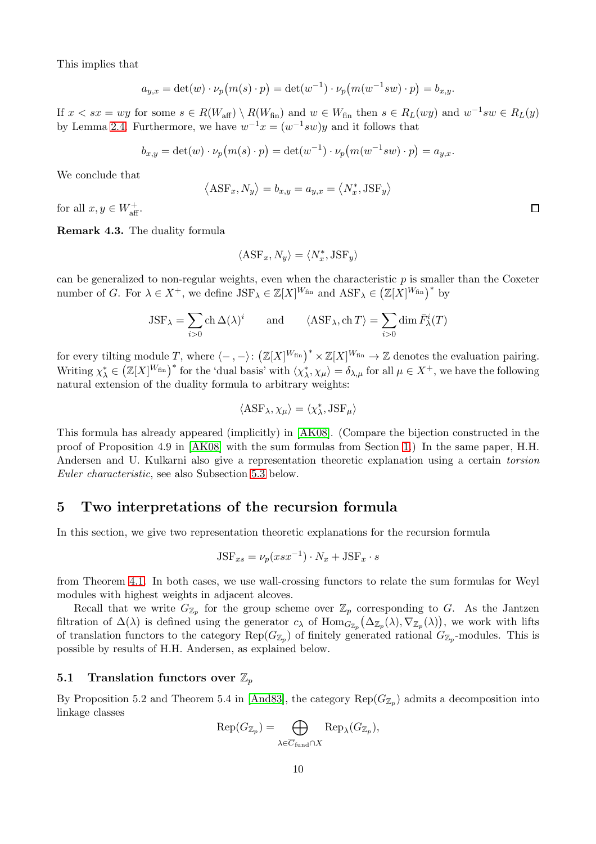This implies that

$$
a_{y,x} = \det(w) \cdot \nu_p(m(s) \cdot p) = \det(w^{-1}) \cdot \nu_p(m(w^{-1}sw) \cdot p) = b_{x,y}.
$$

If  $x < sx = wy$  for some  $s \in R(W_{\text{aff}}) \setminus R(W_{\text{fin}})$  and  $w \in W_{\text{fin}}$  then  $s \in R_L(wy)$  and  $w^{-1}sw \in R_L(y)$ by Lemma [2.4.](#page-5-2) Furthermore, we have  $w^{-1}x = (w^{-1}sw)y$  and it follows that

$$
b_{x,y} = \det(w) \cdot \nu_p(m(s) \cdot p) = \det(w^{-1}) \cdot \nu_p(m(w^{-1}sw) \cdot p) = a_{y,x}.
$$

We conclude that

$$
\left\langle \text{ASF}_x, N_y \right\rangle = b_{x,y} = a_{y,x} = \left\langle N_x^*, \text{JSF}_y \right\rangle
$$

for all  $x, y \in W_{\text{aff}}^+$ .

<span id="page-9-0"></span>Remark 4.3. The duality formula

$$
\langle \text{ASF}_x, N_y \rangle = \langle N_x^*, \text{JSF}_y \rangle
$$

can be generalized to non-regular weights, even when the characteristic  $p$  is smaller than the Coxeter number of G. For  $\lambda \in X^+$ , we define  $JSF_{\lambda} \in \mathbb{Z}[X]^{W_{fin}}$  and  $ASF_{\lambda} \in (\mathbb{Z}[X]^{W_{fin}})^*$  by

$$
JSF_{\lambda} = \sum_{i>0} \text{ch} \,\Delta(\lambda)^i \qquad \text{and} \qquad \langle \text{ASF}_{\lambda}, \text{ch} \, T \rangle = \sum_{i>0} \dim \bar{F}^i_{\lambda}(T)
$$

for every tilting module T, where  $\langle -, - \rangle$ :  $(\mathbb{Z}[X]^{W_{fin}})^* \times \mathbb{Z}[X]^{W_{fin}} \to \mathbb{Z}$  denotes the evaluation pairing. Writing  $\chi_{\lambda}^* \in (\mathbb{Z}[X]^{W_{\text{fin}}})^*$  for the 'dual basis' with  $\langle \chi_{\lambda}^*, \chi_{\mu} \rangle = \delta_{\lambda,\mu}$  for all  $\mu \in X^+$ , we have the following natural extension of the duality formula to arbitrary weights:

$$
\langle \text{ASF}_{\lambda}, \chi_{\mu} \rangle = \langle \chi_{\lambda}^*, \text{JSF}_{\mu} \rangle
$$

This formula has already appeared (implicitly) in [\[AK08\]](#page-21-9). (Compare the bijection constructed in the proof of Proposition 4.9 in [\[AK08\]](#page-21-9) with the sum formulas from Section [1.](#page-2-0)) In the same paper, H.H. Andersen and U. Kulkarni also give a representation theoretic explanation using a certain torsion Euler characteristic, see also Subsection [5.3](#page-17-1) below.

# <span id="page-9-1"></span>5 Two interpretations of the recursion formula

In this section, we give two representation theoretic explanations for the recursion formula

$$
JSF_{xs} = \nu_p (xsx^{-1}) \cdot N_x + JSF_x \cdot s
$$

from Theorem [4.1.](#page-8-0) In both cases, we use wall-crossing functors to relate the sum formulas for Weyl modules with highest weights in adjacent alcoves.

Recall that we write  $G_{\mathbb{Z}_p}$  for the group scheme over  $\mathbb{Z}_p$  corresponding to G. As the Jantzen filtration of  $\Delta(\lambda)$  is defined using the generator  $c_{\lambda}$  of  $\text{Hom}_{G_{\mathbb{Z}_p}}(\Delta_{\mathbb{Z}_p}(\lambda), \nabla_{\mathbb{Z}_p}(\lambda))$ , we work with lifts of translation functors to the category  $\text{Rep}(G_{\mathbb{Z}_p})$  of finitely generated rational  $G_{\mathbb{Z}_p}$ -modules. This is possible by results of H.H. Andersen, as explained below.

#### 5.1 Translation functors over  $\mathbb{Z}_p$

By Proposition 5.2 and Theorem 5.4 in [\[And83\]](#page-21-13), the category  $\text{Rep}(G_{\mathbb{Z}_p})$  admits a decomposition into linkage classes

$$
Rep(G_{\mathbb{Z}_p}) = \bigoplus_{\lambda \in \overline{C}_{\text{fund}} \cap X} Rep_{\lambda}(G_{\mathbb{Z}_p}),
$$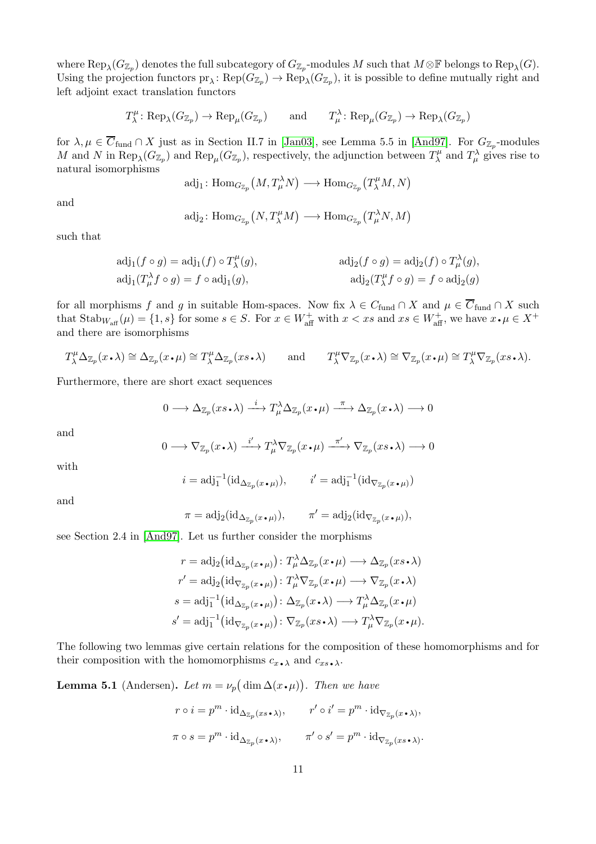where  ${\rm Rep}_\lambda(G_{\mathbb{Z}_p})$  denotes the full subcategory of  $G_{\mathbb{Z}_p}.$  modules  $M$  such that  $M\otimes\mathbb{F}$  belongs to  ${\rm Rep}_\lambda(G).$ Using the projection functors  $pr_\lambda\colon \mathrm{Rep}(G_{\mathbb{Z}_p})\to \mathrm{Rep}_\lambda(G_{\mathbb{Z}_p})$ , it is possible to define mutually right and left adjoint exact translation functors

$$
T_{\lambda}^{\mu}: \text{Rep}_{\lambda}(G_{\mathbb{Z}_p}) \to \text{Rep}_{\mu}(G_{\mathbb{Z}_p})
$$
 and  $T_{\mu}^{\lambda}: \text{Rep}_{\mu}(G_{\mathbb{Z}_p}) \to \text{Rep}_{\lambda}(G_{\mathbb{Z}_p})$ 

for  $\lambda, \mu \in C_{\text{fund}} \cap X$  just as in Section II.7 in [\[Jan03\]](#page-21-10), see Lemma 5.5 in [\[And97\]](#page-21-8). For  $G_{\mathbb{Z}_p}$ -modules M and N in  $\text{Rep}_{\lambda}(G_{\mathbb{Z}_p})$  and  $\text{Rep}_{\mu}(G_{\mathbb{Z}_p})$ , respectively, the adjunction between  $T^{\mu}_{\lambda}$  $T^{\mu}_{\mu}$  and  $T^{\lambda}_{\mu}$  gives rise to natural isomorphisms

$$
\mathrm{adj}_1\colon \mathrm{Hom}_{G_{\mathbb{Z}_p}}\big(M,T^\lambda_\mu N\big)\longrightarrow \mathrm{Hom}_{G_{\mathbb{Z}_p}}\big(T^\mu_\lambda M,N\big)
$$

and

$$
\text{adj}_2\colon\text{Hom}_{G_{\mathbb{Z}_p}}(N,T^\mu_\lambda M)\longrightarrow\text{Hom}_{G_{\mathbb{Z}_p}}(T^\lambda_\mu N,M)
$$

such that

$$
adj_1(f \circ g) = adj_1(f) \circ T_{\lambda}^{\mu}(g), \qquad \text{adj}_2(f \circ g) = adj_2(f) \circ T_{\mu}^{\lambda}(g),
$$
  

$$
adj_1(T_{\mu}^{\lambda} f \circ g) = f \circ adj_1(g), \qquad \text{adj}_2(T_{\lambda}^{\mu} f \circ g) = f \circ adj_2(g)
$$

for all morphisms f and g in suitable Hom-spaces. Now fix  $\lambda \in C_{\text{fund}} \cap X$  and  $\mu \in \overline{C}_{\text{fund}} \cap X$  such that  $\text{Stab}_{W_{\text{aff}}}(\mu) = \{1, s\}$  for some  $s \in S$ . For  $x \in W_{\text{aff}}^+$  with  $x < xs$  and  $xs \in W_{\text{aff}}^+$ , we have  $x \cdot \mu \in X^+$ and there are isomorphisms

$$
T^{\mu}_{\lambda} \Delta_{\mathbb{Z}_p}(x \cdot \lambda) \cong \Delta_{\mathbb{Z}_p}(x \cdot \mu) \cong T^{\mu}_{\lambda} \Delta_{\mathbb{Z}_p}(xs \cdot \lambda) \quad \text{and} \quad T^{\mu}_{\lambda} \nabla_{\mathbb{Z}_p}(x \cdot \lambda) \cong \nabla_{\mathbb{Z}_p}(x \cdot \mu) \cong T^{\mu}_{\lambda} \nabla_{\mathbb{Z}_p}(xs \cdot \lambda).
$$

Furthermore, there are short exact sequences

$$
0 \longrightarrow \Delta_{\mathbb{Z}_p}(xs \cdot \lambda) \xrightarrow{i} T^{\lambda}_{\mu} \Delta_{\mathbb{Z}_p}(x \cdot \mu) \xrightarrow{\pi} \Delta_{\mathbb{Z}_p}(x \cdot \lambda) \longrightarrow 0
$$

and

$$
0 \longrightarrow \nabla_{\mathbb{Z}_p}(x \cdot \lambda) \xrightarrow{i'} T^{\lambda}_{\mu} \nabla_{\mathbb{Z}_p}(x \cdot \mu) \xrightarrow{\pi'} \nabla_{\mathbb{Z}_p}(xs \cdot \lambda) \longrightarrow 0
$$

with

$$
i = \mathrm{adj}_{1}^{-1}(\mathrm{id}_{\Delta_{\mathbb{Z}_{p}}(x \bullet \mu)}), \qquad i' = \mathrm{adj}_{1}^{-1}(\mathrm{id}_{\nabla_{\mathbb{Z}_{p}}(x \bullet \mu)})
$$

and

$$
\pi = \mathrm{adj}_2(\mathrm{id}_{\Delta_{\mathbb{Z}_p}(x \bullet \mu)}), \qquad \pi' = \mathrm{adj}_2(\mathrm{id}_{\nabla_{\mathbb{Z}_p}(x \bullet \mu)}),
$$

see Section 2.4 in [\[And97\]](#page-21-8). Let us further consider the morphisms

$$
r = \mathrm{adj}_2\big(\mathrm{id}_{\Delta_{\mathbb{Z}_p}(x \cdot \mu)}\big) : T_\mu^\lambda \Delta_{\mathbb{Z}_p}(x \cdot \mu) \longrightarrow \Delta_{\mathbb{Z}_p}(xs \cdot \lambda)
$$
  

$$
r' = \mathrm{adj}_2\big(\mathrm{id}_{\nabla_{\mathbb{Z}_p}(x \cdot \mu)}\big) : T_\mu^\lambda \nabla_{\mathbb{Z}_p}(x \cdot \mu) \longrightarrow \nabla_{\mathbb{Z}_p}(x \cdot \lambda)
$$
  

$$
s = \mathrm{adj}_1^{-1}\big(\mathrm{id}_{\Delta_{\mathbb{Z}_p}(x \cdot \mu)}\big) : \Delta_{\mathbb{Z}_p}(x \cdot \lambda) \longrightarrow T_\mu^\lambda \Delta_{\mathbb{Z}_p}(x \cdot \mu)
$$
  

$$
s' = \mathrm{adj}_1^{-1}\big(\mathrm{id}_{\nabla_{\mathbb{Z}_p}(x \cdot \mu)}\big) : \nabla_{\mathbb{Z}_p}(xs \cdot \lambda) \longrightarrow T_\mu^\lambda \nabla_{\mathbb{Z}_p}(x \cdot \mu).
$$

The following two lemmas give certain relations for the composition of these homomorphisms and for their composition with the homomorphisms  $c_{x \bullet \lambda}$  and  $c_{xs \bullet \lambda}$ .

<span id="page-10-0"></span>**Lemma 5.1** (Andersen). Let  $m = \nu_p(\dim \Delta(x \cdot \mu))$ . Then we have

$$
r \circ i = p^m \cdot \mathrm{id}_{\Delta_{\mathbb{Z}_p}(xs \cdot \lambda)}, \qquad r' \circ i' = p^m \cdot \mathrm{id}_{\nabla_{\mathbb{Z}_p}(x \cdot \lambda)},
$$

$$
\pi \circ s = p^m \cdot \mathrm{id}_{\Delta_{\mathbb{Z}_p}(x \cdot \lambda)}, \qquad \pi' \circ s' = p^m \cdot \mathrm{id}_{\nabla_{\mathbb{Z}_p}(xs \cdot \lambda)}.
$$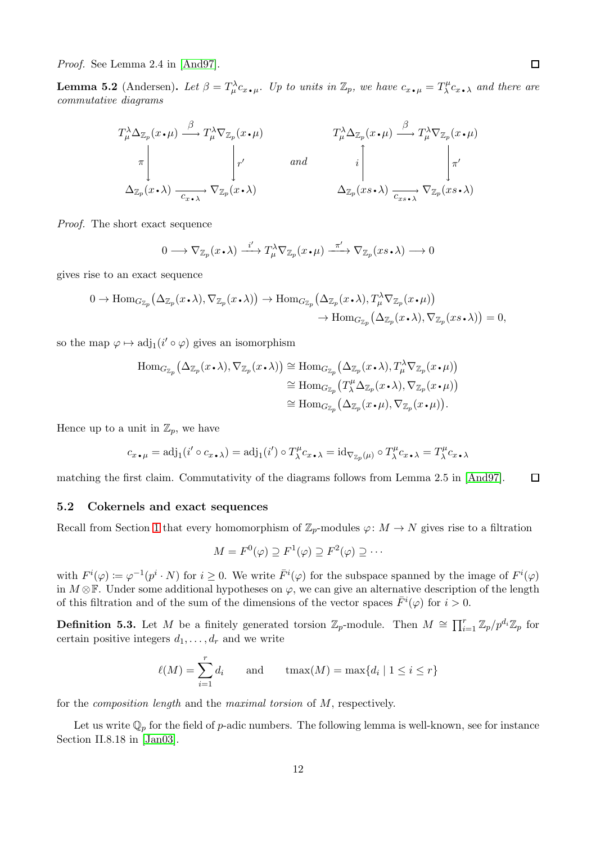Proof. See Lemma 2.4 in [\[And97\]](#page-21-8).

<span id="page-11-0"></span>**Lemma 5.2** (Andersen). Let  $\beta = T^{\lambda}_{\mu} c_{x \cdot \mu}$ . Up to units in  $\mathbb{Z}_p$ , we have  $c_{x \cdot \mu} = T^{\mu}_{\lambda}$ <br>commutative diagrams.  $\lambda^{\mu} c_{x \bullet \lambda}$  and there are commutative diagrams

$$
T^{\lambda}_{\mu} \Delta_{\mathbb{Z}_p}(x \cdot \mu) \xrightarrow{\beta} T^{\lambda}_{\mu} \nabla_{\mathbb{Z}_p}(x \cdot \mu) \qquad T^{\lambda}_{\mu} \Delta_{\mathbb{Z}_p}(x \cdot \mu) \xrightarrow{\beta} T^{\lambda}_{\mu} \nabla_{\mathbb{Z}_p}(x \cdot \mu)
$$
\n
$$
\pi \Bigg|_{T'} \qquad and \qquad i \Bigg|_{T'} \Bigg|_{T'}
$$
\n
$$
\Delta_{\mathbb{Z}_p}(x \cdot \lambda) \xrightarrow{C_{x \cdot \lambda}} \nabla_{\mathbb{Z}_p}(x \cdot \lambda) \qquad \Delta_{\mathbb{Z}_p}(xs \cdot \lambda) \xrightarrow{C_{xs \cdot \lambda}} \nabla_{\mathbb{Z}_p}(xs \cdot \lambda)
$$

Proof. The short exact sequence

$$
0 \longrightarrow \nabla_{\mathbb{Z}_p}(x \cdot \lambda) \xrightarrow{i'} T^{\lambda}_{\mu} \nabla_{\mathbb{Z}_p}(x \cdot \mu) \xrightarrow{\pi'} \nabla_{\mathbb{Z}_p}(xs \cdot \lambda) \longrightarrow 0
$$

gives rise to an exact sequence

$$
0 \to \text{Hom}_{G_{\mathbb{Z}_p}}(\Delta_{\mathbb{Z}_p}(x \cdot \lambda), \nabla_{\mathbb{Z}_p}(x \cdot \lambda)) \to \text{Hom}_{G_{\mathbb{Z}_p}}(\Delta_{\mathbb{Z}_p}(x \cdot \lambda), T_\mu^\lambda \nabla_{\mathbb{Z}_p}(x \cdot \mu)) \to \text{Hom}_{G_{\mathbb{Z}_p}}(\Delta_{\mathbb{Z}_p}(x \cdot \lambda), \nabla_{\mathbb{Z}_p}(xs \cdot \lambda)) = 0,
$$

so the map  $\varphi \mapsto \text{adj}_1(i' \circ \varphi)$  gives an isomorphism

$$
\begin{aligned} \mathrm{Hom}_{G_{\mathbb{Z}_p}}\big(\Delta_{\mathbb{Z}_p}(x\boldsymbol{\cdot}\lambda), \nabla_{\mathbb{Z}_p}(x\boldsymbol{\cdot}\lambda)\big) &\cong \mathrm{Hom}_{G_{\mathbb{Z}_p}}\big(\Delta_{\mathbb{Z}_p}(x\boldsymbol{\cdot}\lambda), T_\mu^\lambda \nabla_{\mathbb{Z}_p}(x\boldsymbol{\cdot}\mu)\big) \\ &\cong \mathrm{Hom}_{G_{\mathbb{Z}_p}}\big(T_\lambda^\mu \Delta_{\mathbb{Z}_p}(x\boldsymbol{\cdot}\lambda), \nabla_{\mathbb{Z}_p}(x\boldsymbol{\cdot}\mu)\big) \\ &\cong \mathrm{Hom}_{G_{\mathbb{Z}_p}}\big(\Delta_{\mathbb{Z}_p}(x\boldsymbol{\cdot}\mu), \nabla_{\mathbb{Z}_p}(x\boldsymbol{\cdot}\mu)\big). \end{aligned}
$$

Hence up to a unit in  $\mathbb{Z}_p$ , we have

$$
c_{x \bullet \mu} = \mathrm{adj}_1(i' \circ c_{x \bullet \lambda}) = \mathrm{adj}_1(i') \circ T_\lambda^\mu c_{x \bullet \lambda} = \mathrm{id}_{\nabla_{\mathbb{Z}_p}(\mu)} \circ T_\lambda^\mu c_{x \bullet \lambda} = T_\lambda^\mu c_{x \bullet \lambda}
$$

matching the first claim. Commutativity of the diagrams follows from Lemma 2.5 in [\[And97\]](#page-21-8).  $\Box$ 

#### 5.2 Cokernels and exact sequences

Recall from Section [1](#page-2-0) that every homomorphism of  $\mathbb{Z}_p$ -modules  $\varphi: M \to N$  gives rise to a filtration

$$
M = F^0(\varphi) \supseteq F^1(\varphi) \supseteq F^2(\varphi) \supseteq \cdots
$$

with  $F^i(\varphi) := \varphi^{-1}(p^i \cdot N)$  for  $i \geq 0$ . We write  $\overline{F}^i(\varphi)$  for the subspace spanned by the image of  $F^i(\varphi)$ in  $M \otimes \mathbb{F}$ . Under some additional hypotheses on  $\varphi$ , we can give an alternative description of the length of this filtration and of the sum of the dimensions of the vector spaces  $\bar{F}^i(\varphi)$  for  $i > 0$ .

**Definition 5.3.** Let M be a finitely generated torsion  $\mathbb{Z}_p$ -module. Then  $M \cong \prod_{i=1}^r \mathbb{Z}_p/p^{d_i} \mathbb{Z}_p$  for certain positive integers  $d_1, \ldots, d_r$  and we write

$$
\ell(M) = \sum_{i=1}^{r} d_i \quad \text{and} \quad \text{tmax}(M) = \max\{d_i \mid 1 \le i \le r\}
$$

for the composition length and the maximal torsion of M, respectively.

Let us write  $\mathbb{Q}_p$  for the field of p-adic numbers. The following lemma is well-known, see for instance Section II.8.18 in [\[Jan03\]](#page-21-10).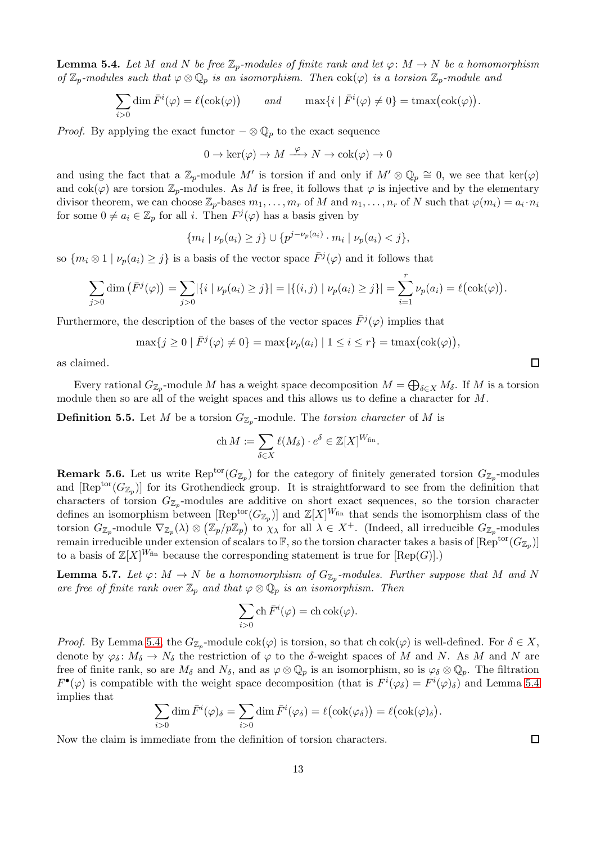<span id="page-12-0"></span>**Lemma 5.4.** Let M and N be free  $\mathbb{Z}_p$ -modules of finite rank and let  $\varphi \colon M \to N$  be a homomorphism of  $\mathbb{Z}_p$ -modules such that  $\varphi \otimes \mathbb{Q}_p$  is an isomorphism. Then  $\text{cok}(\varphi)$  is a torsion  $\mathbb{Z}_p$ -module and

$$
\sum_{i>0} \dim \bar{F}^i(\varphi) = \ell(\text{cok}(\varphi)) \qquad \text{and} \qquad \max\{i \mid \bar{F}^i(\varphi) \neq 0\} = \text{tmax}(\text{cok}(\varphi)).
$$

*Proof.* By applying the exact functor  $-\otimes \mathbb{Q}_p$  to the exact sequence

$$
0 \to \ker(\varphi) \to M \xrightarrow{\varphi} N \to \operatorname{cok}(\varphi) \to 0
$$

and using the fact that a  $\mathbb{Z}_p$ -module M' is torsion if and only if  $M' \otimes \mathbb{Q}_p \cong 0$ , we see that  $\ker(\varphi)$ and  $\operatorname{cok}(\varphi)$  are torsion  $\mathbb{Z}_p$ -modules. As M is free, it follows that  $\varphi$  is injective and by the elementary divisor theorem, we can choose  $\mathbb{Z}_p$ -bases  $m_1, \ldots, m_r$  of M and  $n_1, \ldots, n_r$  of N such that  $\varphi(m_i) = a_i \cdot n_i$ for some  $0 \neq a_i \in \mathbb{Z}_p$  for all i. Then  $F^j(\varphi)$  has a basis given by

$$
\{m_i \mid \nu_p(a_i) \ge j\} \cup \{p^{j-\nu_p(a_i)} \cdot m_i \mid \nu_p(a_i) < j\},\
$$

so  $\{m_i\otimes 1 \mid \nu_p(a_i)\geq j\}$  is a basis of the vector space  $\bar{F}^j(\varphi)$  and it follows that

$$
\sum_{j>0} \dim \left( \bar{F}^j(\varphi) \right) = \sum_{j>0} |\{i \mid \nu_p(a_i) \geq j\}| = |\{(i,j) \mid \nu_p(a_i) \geq j\}| = \sum_{i=1}^r \nu_p(a_i) = \ell(\text{cok}(\varphi)).
$$

Furthermore, the description of the bases of the vector spaces  $\bar{F}^{j}(\varphi)$  implies that

$$
\max\{j\geq 0 \mid \bar{F}^j(\varphi)\neq 0\} = \max\{\nu_p(a_i) \mid 1\leq i\leq r\} = \max\bigl(\text{cok}(\varphi)\bigr),
$$

as claimed.

Every rational  $G_{\mathbb{Z}_p}$ -module M has a weight space decomposition  $M=\bigoplus_{\delta\in X}M_\delta.$  If M is a torsion module then so are all of the weight spaces and this allows us to define a character for M.

**Definition 5.5.** Let M be a torsion  $G_{\mathbb{Z}_p}$ -module. The *torsion character* of M is

$$
\operatorname{ch} M := \sum_{\delta \in X} \ell(M_{\delta}) \cdot e^{\delta} \in \mathbb{Z}[X]^{W_{\text{fin}}}.
$$

<span id="page-12-2"></span>**Remark 5.6.** Let us write  $\text{Rep}^{\text{tor}}(G_{\mathbb{Z}_p})$  for the category of finitely generated torsion  $G_{\mathbb{Z}_p}$ -modules and  $[\text{Rep}^{\text{tor}}(G_{\mathbb{Z}_p})]$  for its Grothendieck group. It is straightforward to see from the definition that characters of torsion  $G_{\mathbb{Z}_p}$ -modules are additive on short exact sequences, so the torsion character defines an isomorphism between  $[\text{Rep}^{\text{tor}}(G_{\mathbb{Z}_p})]$  and  $\mathbb{Z}[X]^{W_{\text{fin}}}$  that sends the isomorphism class of the torsion  $G_{\mathbb{Z}_p}$ -module  $\nabla_{\mathbb{Z}_p}(\lambda) \otimes (\mathbb{Z}_p/p\mathbb{Z}_p)$  to  $\chi_\lambda$  for all  $\lambda \in X^+$ . (Indeed, all irreducible  $G_{\mathbb{Z}_p}$ -modules remain irreducible under extension of scalars to  $\mathbb F,$  so the torsion character takes a basis of  $[{\rm Rep}^{\rm tor}(G_{\mathbb Z_p})]$ to a basis of  $\mathbb{Z}[X]^{W_{fin}}$  because the corresponding statement is true for  $[Rep(G)]$ .)

<span id="page-12-1"></span>**Lemma 5.7.** Let  $\varphi: M \to N$  be a homomorphism of  $G_{\mathbb{Z}_p}$ -modules. Further suppose that M and N are free of finite rank over  $\mathbb{Z}_p$  and that  $\varphi \otimes \mathbb{Q}_p$  is an isomorphism. Then

$$
\sum_{i>0} \operatorname{ch} \bar{F}^i(\varphi) = \operatorname{ch} \operatorname{cok}(\varphi).
$$

*Proof.* By Lemma [5.4,](#page-12-0) the  $G_{\mathbb{Z}_p}$ -module  $\text{cok}(\varphi)$  is torsion, so that  $\text{ch} \text{cok}(\varphi)$  is well-defined. For  $\delta \in X$ , denote by  $\varphi_{\delta} : M_{\delta} \to N_{\delta}$  the restriction of  $\varphi$  to the  $\delta$ -weight spaces of M and N. As M and N are free of finite rank, so are  $M_\delta$  and  $N_\delta$ , and as  $\varphi \otimes \mathbb{Q}_p$  is an isomorphism, so is  $\varphi_\delta \otimes \mathbb{Q}_p$ . The filtration  $F^{\bullet}(\varphi)$  is compatible with the weight space decomposition (that is  $F^{i}(\varphi_{\delta}) = F^{i}(\varphi)_{\delta}$ ) and Lemma [5.4](#page-12-0) implies that

$$
\sum_{i>0} \dim \bar{F}^i(\varphi)_{\delta} = \sum_{i>0} \dim \bar{F}^i(\varphi_{\delta}) = \ell (\mathrm{cok}(\varphi_{\delta})) = \ell (\mathrm{cok}(\varphi)_{\delta}).
$$

Now the claim is immediate from the definition of torsion characters.

 $\Box$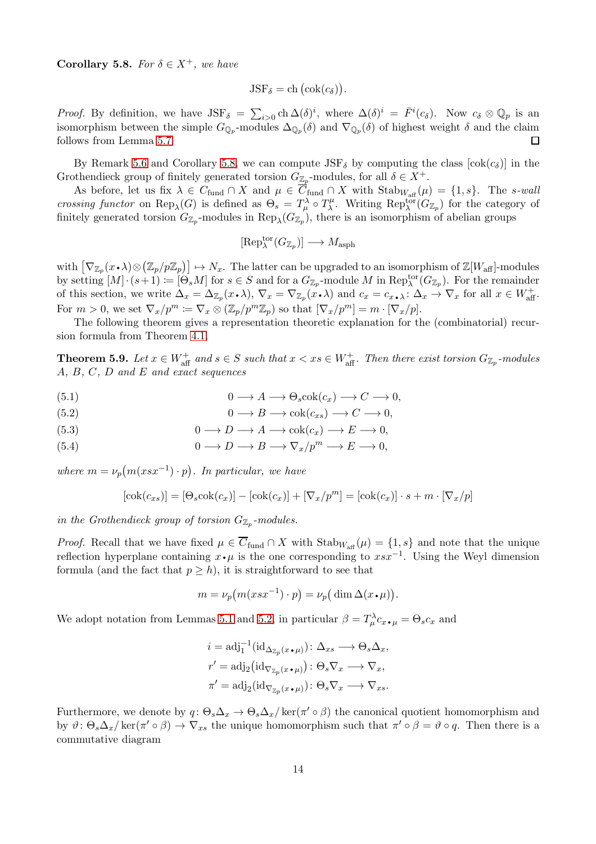<span id="page-13-1"></span>Corollary 5.8. For  $\delta \in X^+$ , we have

$$
JSF_{\delta} = ch\left(\mathrm{cok}(c_{\delta})\right).
$$

*Proof.* By definition, we have  $JSF_{\delta} = \sum_{i>0} \text{ch } \Delta(\delta)^i$ , where  $\Delta(\delta)^i = \overline{F}^i(c_{\delta})$ . Now  $c_{\delta} \otimes \mathbb{Q}_p$  is an isomorphism between the simple  $G_{\mathbb{Q}_p}$ -modules  $\Delta_{\mathbb{Q}_p}(\delta)$  and  $\nabla_{\mathbb{Q}_p}(\delta)$  of highest weight  $\delta$  and the claim follows from Lemma [5.7.](#page-12-1) □

By Remark [5.6](#page-12-2) and Corollary [5.8,](#page-13-1) we can compute  $JSF_{\delta}$  by computing the class  $[\cosh(c_{\delta})]$  in the Grothendieck group of finitely generated torsion  $G_{\mathbb{Z}_p}$ -modules, for all  $\delta \in X^+$ .

As before, let us fix  $\lambda \in C_{\text{fund}} \cap X$  and  $\mu \in \overline{C}_{\text{fund}} \cap X$  with  $\text{Stab}_{W_{\text{aff}}}(\mu) = \{1, s\}$ . The s-wall crossing functor on  $\text{Rep}_{\lambda}(G)$  is defined as  $\Theta_s = T^{\lambda}_{\mu} \circ T^{\mu}_{\lambda}$ <sup>μ</sup>. Writing Rep<sub>λ</sub><sup>tor</sup>( $G_{\mathbb{Z}_p}$ ) for the category of finitely generated torsion  $G_{\mathbb{Z}_p}$ -modules in  $\text{Rep}_{\lambda}(G_{\mathbb{Z}_p})$ , there is an isomorphism of abelian groups

$$
[\text{Rep}^{\text{tor}}_{\lambda}(G_{\mathbb{Z}_p})] \longrightarrow M_{\text{asph}}
$$

with  $[\nabla_{\mathbb{Z}_p}(x \cdot \lambda) \otimes (\mathbb{Z}_p/p\mathbb{Z}_p)] \mapsto N_x$ . The latter can be upgraded to an isomorphism of  $\mathbb{Z}[W_{\text{aff}}]$ -modules by setting  $[M] \cdot (s+1) := [\Theta_s M]$  for  $s \in S$  and for a  $G_{\mathbb{Z}_p}$ -module M in  $\text{Rep}_{\lambda}^{\text{tor}}(G_{\mathbb{Z}_p})$ . For the remainder of this section, we write  $\Delta_x = \Delta_{\mathbb{Z}_p}(x \cdot \lambda)$ ,  $\nabla_x = \nabla_{\mathbb{Z}_p}(x \cdot \lambda)$  and  $c_x = c_{x \cdot \lambda} : \Delta_x \to \nabla_x$  for all  $x \in W_{\text{aff}}^+$ . For  $m > 0$ , we set  $\nabla_x / p^m \coloneqq \nabla_x \otimes (\mathbb{Z}_p / p^m \mathbb{Z}_p)$  so that  $[\nabla_x / p^m] = m \cdot [\nabla_x / p].$ 

The following theorem gives a representation theoretic explanation for the (combinatorial) recursion formula from Theorem [4.1.](#page-8-0)

<span id="page-13-0"></span>**Theorem 5.9.** Let  $x \in W_{\text{aff}}^+$  and  $s \in S$  such that  $x < xs \in W_{\text{aff}}^+$ . Then there exist torsion  $G_{\mathbb{Z}_p}$ -modules A, B, C, D and E and exact sequences

<span id="page-13-2"></span>(5.1) 
$$
0 \longrightarrow A \longrightarrow \Theta_s \text{cok}(c_x) \longrightarrow C \longrightarrow 0,
$$

(5.2) 
$$
0 \longrightarrow B \longrightarrow \text{cok}(c_{xs}) \longrightarrow C \longrightarrow 0,
$$

<span id="page-13-3"></span>(5.3) 
$$
0 \longrightarrow D \longrightarrow A \longrightarrow \text{cok}(c_x) \longrightarrow E \longrightarrow 0,
$$

<span id="page-13-4"></span>(5.4) 
$$
0 \longrightarrow D \longrightarrow B \longrightarrow \nabla_x / p^m \longrightarrow E \longrightarrow 0,
$$

where  $m = \nu_p(m(xsx^{-1}) \cdot p)$ . In particular, we have

$$
[\text{cok}(c_{xs})] = [\Theta_s \text{cok}(c_x)] - [\text{cok}(c_x)] + [\nabla_x / p^m] = [\text{cok}(c_x)] \cdot s + m \cdot [\nabla_x / p]
$$

in the Grothendieck group of torsion  $G_{\mathbb{Z}_p}$ -modules.

*Proof.* Recall that we have fixed  $\mu \in \overline{C}_{\text{fund}} \cap X$  with  $\text{Stab}_{W_{\text{aff}}}(\mu) = \{1, s\}$  and note that the unique reflection hyperplane containing  $\overline{x} \cdot \mu$  is the one corresponding to  $\overline{x} \cdot \overline{x^{-1}}$ . Using the Weyl dimension formula (and the fact that  $p \geq h$ ), it is straightforward to see that

$$
m = \nu_p(m(xsx^{-1}) \cdot p) = \nu_p(\dim \Delta(x \cdot \mu)).
$$

We adopt notation from Lemmas [5.1](#page-10-0) and [5.2,](#page-11-0) in particular  $\beta = T^{\lambda}_{\mu} c_{x \bullet \mu} = \Theta_s c_x$  and

$$
i = \text{adj}_{1}^{-1}(\text{id}_{\Delta_{\mathbb{Z}_{p}}(x \bullet \mu)}): \Delta_{xs} \longrightarrow \Theta_{s}\Delta_{x},
$$
  
\n
$$
r' = \text{adj}_{2}(\text{id}_{\nabla_{\mathbb{Z}_{p}}(x \bullet \mu)}): \Theta_{s}\nabla_{x} \longrightarrow \nabla_{x},
$$
  
\n
$$
\pi' = \text{adj}_{2}(\text{id}_{\nabla_{\mathbb{Z}_{p}}(x \bullet \mu)}): \Theta_{s}\nabla_{x} \longrightarrow \nabla_{xs}.
$$

Furthermore, we denote by  $q: \Theta_s \Delta_x \to \Theta_s \Delta_x / \ker(\pi' \circ \beta)$  the canonical quotient homomorphism and by  $\vartheta$ :  $\Theta_s \Delta_x / \text{ker}(\pi' \circ \beta) \rightarrow \nabla_{xs}$  the unique homomorphism such that  $\pi' \circ \beta = \vartheta \circ q$ . Then there is a commutative diagram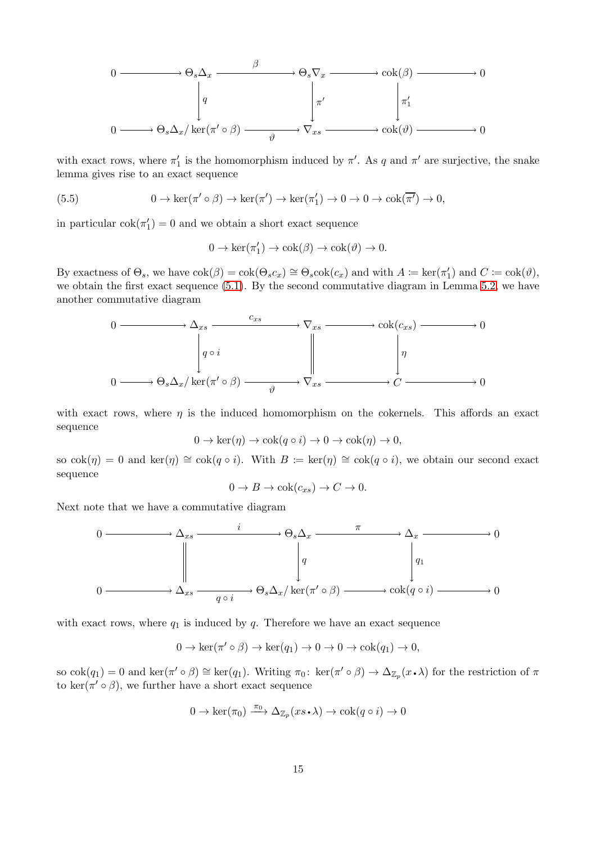$$
0 \longrightarrow \Theta_s \Delta_x \xrightarrow{\beta} \Theta_s \nabla_x \longrightarrow \text{cok}(\beta) \longrightarrow 0
$$
  
\n
$$
\downarrow q \qquad \qquad \downarrow \pi'
$$
  
\n
$$
0 \longrightarrow \Theta_s \Delta_x / \text{ker}(\pi' \circ \beta) \xrightarrow{\qquad \qquad \emptyset} \nabla_x \longrightarrow \text{cok}(\vartheta) \longrightarrow 0
$$

with exact rows, where  $\pi'_1$  is the homomorphism induced by  $\pi'$ . As q and  $\pi'$  are surjective, the snake lemma gives rise to an exact sequence

(5.5) 
$$
0 \to \ker(\pi' \circ \beta) \to \ker(\pi') \to \ker(\pi'_1) \to 0 \to 0 \to \cosh(\overline{\pi'}) \to 0,
$$

in particular  $\text{cok}(\pi_1') = 0$  and we obtain a short exact sequence

<span id="page-14-0"></span>
$$
0 \to \ker(\pi'_1) \to \cosh(\beta) \to \cosh(\vartheta) \to 0.
$$

By exactness of  $\Theta_s$ , we have  $\text{cok}(\beta) = \text{cok}(\Theta_s c_x) \cong \Theta_s \text{cok}(c_x)$  and with  $A \coloneqq \text{ker}(\pi_1')$  and  $C \coloneqq \text{cok}(\vartheta)$ , we obtain the first exact sequence [\(5.1\)](#page-13-2). By the second commutative diagram in Lemma [5.2,](#page-11-0) we have another commutative diagram



with exact rows, where  $\eta$  is the induced homomorphism on the cokernels. This affords an exact sequence

$$
0 \to \ker(\eta) \to \cosh(q \circ i) \to 0 \to \cosh(\eta) \to 0,
$$

so  $\cosh(\eta) = 0$  and  $\ker(\eta) \cong \cosh(q \circ i)$ . With  $B := \ker(\eta) \cong \cosh(q \circ i)$ , we obtain our second exact sequence

$$
0 \to B \to \text{cok}(c_{xs}) \to C \to 0.
$$

Next note that we have a commutative diagram



with exact rows, where  $q_1$  is induced by  $q$ . Therefore we have an exact sequence

$$
0 \to \ker(\pi' \circ \beta) \to \ker(q_1) \to 0 \to 0 \to \cosh(q_1) \to 0,
$$

so  $\cot(q_1) = 0$  and  $\ker(\pi' \circ \beta) \cong \ker(q_1)$ . Writing  $\pi_0: \ker(\pi' \circ \beta) \to \Delta_{\mathbb{Z}_p}(x \cdot \lambda)$  for the restriction of  $\pi$ to ker( $\pi' \circ \beta$ ), we further have a short exact sequence

$$
0 \to \ker(\pi_0) \xrightarrow{\pi_0} \Delta_{\mathbb{Z}_p}(xs \cdot \lambda) \to \text{cok}(q \circ i) \to 0
$$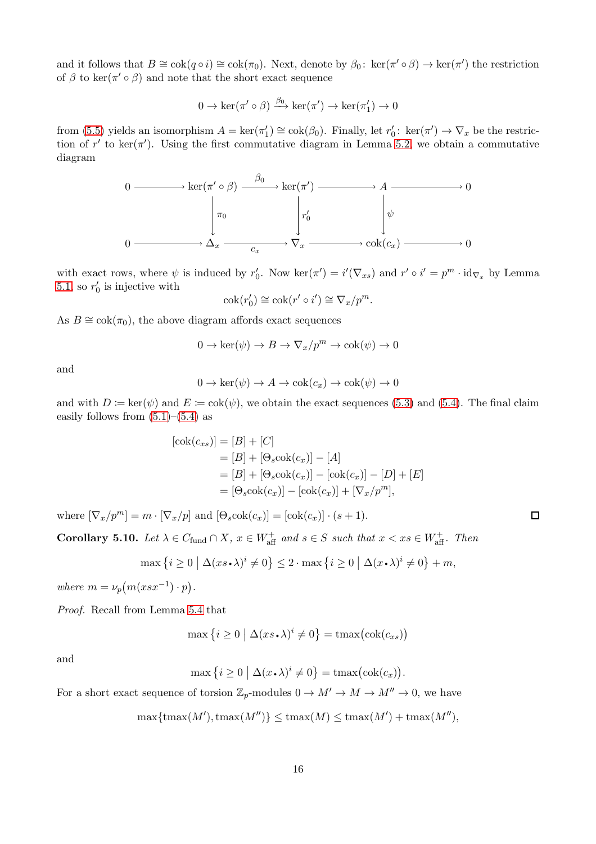and it follows that  $B \cong \text{cok}(q \circ i) \cong \text{cok}(\pi_0)$ . Next, denote by  $\beta_0$ : ker $(\pi' \circ \beta) \to \text{ker}(\pi')$  the restriction of  $\beta$  to ker( $\pi' \circ \beta$ ) and note that the short exact sequence

$$
0 \to \ker(\pi' \circ \beta) \xrightarrow{\beta_0} \ker(\pi') \to \ker(\pi'_1) \to 0
$$

from [\(5.5\)](#page-14-0) yields an isomorphism  $A = \ker(\pi_1') \cong \operatorname{cok}(\beta_0)$ . Finally, let  $r'_0$ :  $\ker(\pi') \to \nabla_x$  be the restriction of r' to ker( $\pi'$ ). Using the first commutative diagram in Lemma [5.2,](#page-11-0) we obtain a commutative diagram



with exact rows, where  $\psi$  is induced by  $r'_0$ . Now ker $(\pi') = i'(\nabla_{xs})$  and  $r' \circ i' = p^m \cdot id_{\nabla_x}$  by Lemma [5.1,](#page-10-0) so  $r'_0$  is injective with

$$
\operatorname{cok}(r'_0) \cong \operatorname{cok}(r' \circ i') \cong \nabla_x / p^m.
$$

As  $B \cong \text{cok}(\pi_0)$ , the above diagram affords exact sequences

$$
0 \to \ker(\psi) \to B \to \nabla_x / p^m \to \operatorname{cok}(\psi) \to 0
$$

and

$$
0 \to \ker(\psi) \to A \to \operatorname{cok}(c_x) \to \operatorname{cok}(\psi) \to 0
$$

and with  $D := \ker(\psi)$  and  $E := \cosh(\psi)$ , we obtain the exact sequences [\(5.3\)](#page-13-3) and [\(5.4\)](#page-13-4). The final claim easily follows from  $(5.1)$ – $(5.4)$  as

$$
[\cok(c_{xs})] = [B] + [C]
$$
  
= [B] + [Θ<sub>s</sub>cok(c<sub>x</sub>)] - [A]  
= [B] + [Θ<sub>s</sub>cok(c<sub>x</sub>)] - [cok(c<sub>x</sub>)] - [D] + [E]  
= [Θ<sub>s</sub>cok(c<sub>x</sub>)] - [cok(c<sub>x</sub>)] + [∇<sub>x</sub>/p<sup>m</sup>],

where  $[\nabla_x/p^m] = m \cdot [\nabla_x/p]$  and  $[\Theta_s \text{cok}(c_x)] = [\text{cok}(c_x)] \cdot (s+1)$ .

<span id="page-15-0"></span>**Corollary 5.10.** Let  $\lambda \in C_{\text{fund}} \cap X$ ,  $x \in W_{\text{aff}}^+$  and  $s \in S$  such that  $x < xs \in W_{\text{aff}}^+$ . Then

$$
\max\left\{i\geq 0 \mid \Delta(xs\boldsymbol{\cdot}\lambda)^i\neq 0\right\} \leq 2\cdot\max\left\{i\geq 0 \mid \Delta(x\boldsymbol{\cdot}\lambda)^i\neq 0\right\}+m,
$$

where  $m = \nu_p(m(xsx^{-1}) \cdot p)$ .

Proof. Recall from Lemma [5.4](#page-12-0) that

$$
\max\left\{i\geq 0\ \big|\ \Delta(xs\boldsymbol{\cdot}\lambda)^i\neq 0\right\}=\mathrm{tmax}\big(\mathrm{cok}(c_{xs})\big)
$$

and

$$
\max\left\{i\geq 0 \mid \Delta(x \cdot \lambda)^i \neq 0\right\} = \max\left(\mathrm{cok}(c_x)\right).
$$

For a short exact sequence of torsion  $\mathbb{Z}_p$ -modules  $0 \to M' \to M \to M'' \to 0$ , we have

$$
\max\{\max(M'),\max(M'')\} \le \max(M) \le \max(M') + \max(M''),
$$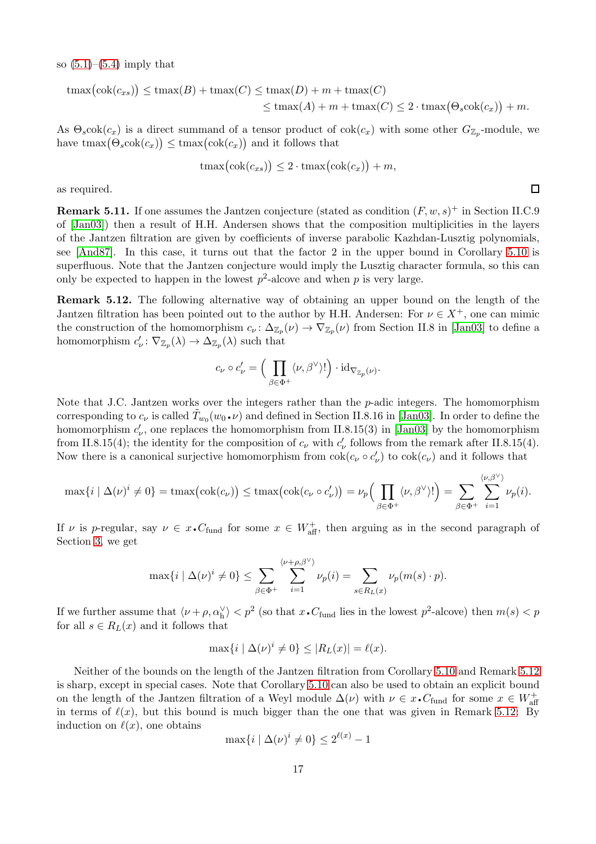so  $(5.1)$ – $(5.4)$  imply that

$$
t\max(\text{cok}(c_{xs})) \leq \text{tmax}(B) + \text{tmax}(C) \leq \text{tmax}(D) + m + \text{tmax}(C)
$$
  

$$
\leq \text{tmax}(A) + m + \text{tmax}(C) \leq 2 \cdot \text{tmax}(\Theta_s \text{cok}(c_x)) + m.
$$

As  $\Theta_s \text{cok}(c_x)$  is a direct summand of a tensor product of  $\text{cok}(c_x)$  with some other  $G_{\mathbb{Z}_p}$ -module, we have  $\text{tmax}(\Theta_s \text{cok}(c_x)) \leq \text{tmax}(\text{cok}(c_x))$  and it follows that

$$
\max(\text{cok}(c_{xs})) \le 2 \cdot \max(\text{cok}(c_x)) + m,
$$

as required.

**Remark 5.11.** If one assumes the Jantzen conjecture (stated as condition  $(F, w, s)^+$  in Section II.C.9 of [\[Jan03\]](#page-21-10)) then a result of H.H. Andersen shows that the composition multiplicities in the layers of the Jantzen filtration are given by coefficients of inverse parabolic Kazhdan-Lusztig polynomials, see [\[And87\]](#page-21-14). In this case, it turns out that the factor 2 in the upper bound in Corollary [5.10](#page-15-0) is superfluous. Note that the Jantzen conjecture would imply the Lusztig character formula, so this can only be expected to happen in the lowest  $p^2$ -alcove and when p is very large.

<span id="page-16-0"></span>Remark 5.12. The following alternative way of obtaining an upper bound on the length of the Jantzen filtration has been pointed out to the author by H.H. Andersen: For  $\nu \in X^+$ , one can mimic the construction of the homomorphism  $c_{\nu} \colon \Delta_{\mathbb{Z}_p}(\nu) \to \nabla_{\mathbb{Z}_p}(\nu)$  from Section II.8 in [\[Jan03\]](#page-21-10) to define a homomorphism  $c'_{\nu} \colon \nabla_{\mathbb{Z}_p}(\lambda) \to \Delta_{\mathbb{Z}_p}(\lambda)$  such that

$$
c_{\nu} \circ c_{\nu}' = \Big(\prod_{\beta \in \Phi^+} \langle \nu, \beta^{\vee} \rangle! \Big) \cdot \mathrm{id}_{\nabla_{\mathbb{Z}_p}(\nu)}.
$$

Note that J.C. Jantzen works over the integers rather than the  $p$ -adic integers. The homomorphism corresponding to  $c_{\nu}$  is called  $\tilde{T}_{w_0}(w_0 \cdot \nu)$  and defined in Section II.8.16 in [\[Jan03\]](#page-21-10). In order to define the homomorphism  $c'_{\nu}$ , one replaces the homomorphism from II.8.15(3) in [\[Jan03\]](#page-21-10) by the homomorphism from II.8.15(4); the identity for the composition of  $c_{\nu}$  with  $c'_{\nu}$  follows from the remark after II.8.15(4). Now there is a canonical surjective homomorphism from  $\text{cok}(c_\nu \circ c'_\nu)$  to  $\text{cok}(c_\nu)$  and it follows that

$$
\max\{i \mid \Delta(\nu)^i \neq 0\} = \max\big(\text{cok}(c_{\nu})\big) \leq \max\big(\text{cok}(c_{\nu} \circ c_{\nu}')\big) = \nu_p\Big(\prod_{\beta \in \Phi^+} \langle \nu, \beta^{\vee} \rangle! \Big) = \sum_{\beta \in \Phi^+} \sum_{i=1}^{\langle \nu, \beta^{\vee} \rangle} \nu_p(i).
$$

If v is p-regular, say  $\nu \in x \cdot C_{\text{fund}}$  for some  $x \in W_{\text{aff}}^+$ , then arguing as in the second paragraph of Section [3,](#page-5-0) we get

$$
\max\{i \mid \Delta(\nu)^i \neq 0\} \le \sum_{\beta \in \Phi^+} \sum_{i=1}^{\langle \nu + \rho, \beta^{\vee} \rangle} \nu_p(i) = \sum_{s \in R_L(x)} \nu_p(m(s) \cdot p).
$$

If we further assume that  $\langle \nu + \rho, \alpha_h^{\vee} \rangle < p^2$  (so that  $x \cdot C_{\text{fund}}$  lies in the lowest  $p^2$ -alcove) then  $m(s) < p$ for all  $s \in R_L(x)$  and it follows that

$$
\max\{i \mid \Delta(\nu)^i \neq 0\} \le |R_L(x)| = \ell(x).
$$

Neither of the bounds on the length of the Jantzen filtration from Corollary [5.10](#page-15-0) and Remark [5.12](#page-16-0) is sharp, except in special cases. Note that Corollary [5.10](#page-15-0) can also be used to obtain an explicit bound on the length of the Jantzen filtration of a Weyl module  $\Delta(\nu)$  with  $\nu \in x \cdot C_{\text{fund}}$  for some  $x \in W_{\text{aff}}^+$ in terms of  $\ell(x)$ , but this bound is much bigger than the one that was given in Remark [5.12:](#page-16-0) By induction on  $\ell(x)$ , one obtains

$$
\max\{i \mid \Delta(\nu)^i \neq 0\} \le 2^{\ell(x)} - 1
$$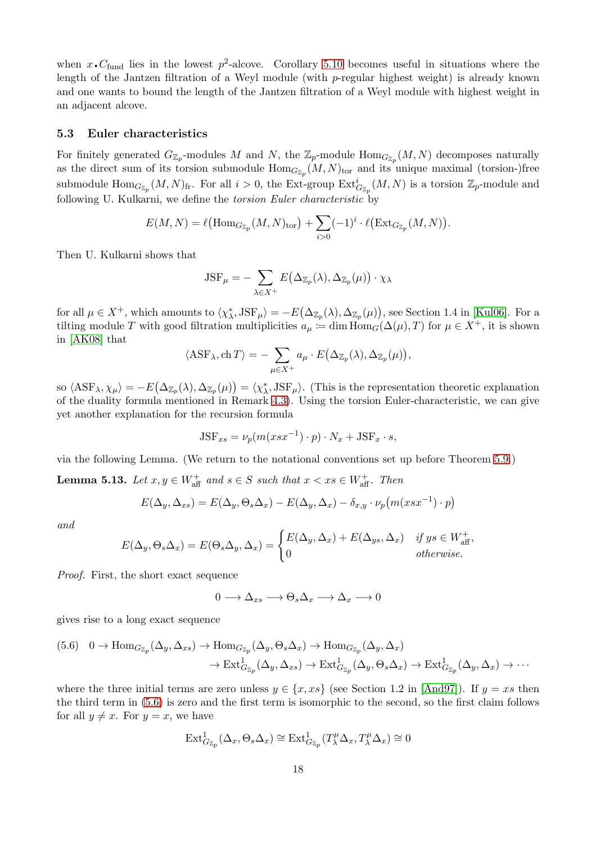when  $x \cdot C_{\text{fund}}$  lies in the lowest  $p^2$ -alcove. Corollary [5.10](#page-15-0) becomes useful in situations where the length of the Jantzen filtration of a Weyl module (with p-regular highest weight) is already known and one wants to bound the length of the Jantzen filtration of a Weyl module with highest weight in an adjacent alcove.

#### <span id="page-17-1"></span>5.3 Euler characteristics

For finitely generated  $G_{\mathbb{Z}_p}$ -modules M and N, the  $\mathbb{Z}_p$ -module  $\text{Hom}_{G_{\mathbb{Z}_p}}(M, N)$  decomposes naturally as the direct sum of its torsion submodule  $Hom_{G_{\mathbb{Z}_p}}(M, N)_{\text{tor}}$  and its unique maximal (torsion-)free submodule  $\text{Hom}_{G_{\mathbb{Z}_p}}(M,N)_{\text{fr}}$ . For all  $i>0$ , the Ext-group  $\text{Ext}_{G_{\mathbb{Z}_p}}^i(M,N)$  is a torsion  $\mathbb{Z}_p$ -module and following U. Kulkarni, we define the torsion Euler characteristic by

$$
E(M, N) = \ell\big(\mathrm{Hom}_{G_{\mathbb{Z}_p}}(M, N)_{\mathrm{tor}}\big) + \sum_{i>0} (-1)^i \cdot \ell\big(\mathrm{Ext}_{G_{\mathbb{Z}_p}}(M, N)\big).
$$

Then U. Kulkarni shows that

$$
JSF_{\mu} = -\sum_{\lambda \in X^{+}} E(\Delta_{\mathbb{Z}_{p}}(\lambda), \Delta_{\mathbb{Z}_{p}}(\mu)) \cdot \chi_{\lambda}
$$

for all  $\mu \in X^+$ , which amounts to  $\langle \chi^*_{\lambda}$ ,  $JSF_{\mu} \rangle = -E(\Delta_{\mathbb{Z}_p}(\lambda), \Delta_{\mathbb{Z}_p}(\mu))$ , see Section 1.4 in [\[Kul06\]](#page-21-15). For a tilting module T with good filtration multiplicities  $a_{\mu} := \dim \text{Hom}_G(\Delta(\mu), T)$  for  $\mu \in X^+$ , it is shown in [\[AK08\]](#page-21-9) that

$$
\langle \text{ASF}_{\lambda}, \text{ch} \, T \rangle = - \sum_{\mu \in X^{+}} a_{\mu} \cdot E\big(\Delta_{\mathbb{Z}_{p}}(\lambda), \Delta_{\mathbb{Z}_{p}}(\mu)\big),
$$

so  $\langle \text{ASF}_{\lambda}, \chi_{\mu} \rangle = -E(\Delta_{\mathbb{Z}_p}(\lambda), \Delta_{\mathbb{Z}_p}(\mu)) = \langle \chi_{\lambda}^*, \text{JSF}_{\mu} \rangle$ . (This is the representation theoretic explanation of the duality formula mentioned in Remark [4.3\)](#page-9-0). Using the torsion Euler-characteristic, we can give yet another explanation for the recursion formula

$$
JSF_{xs} = \nu_p(m(xsx^{-1}) \cdot p) \cdot N_x + JSF_x \cdot s,
$$

via the following Lemma. (We return to the notational conventions set up before Theorem [5.9.](#page-13-0))

<span id="page-17-0"></span>**Lemma 5.13.** Let  $x, y \in W_{\text{aff}}^+$  and  $s \in S$  such that  $x < xs \in W_{\text{aff}}^+$ . Then

$$
E(\Delta_y, \Delta_{xs}) = E(\Delta_y, \Theta_s \Delta_x) - E(\Delta_y, \Delta_x) - \delta_{x,y} \cdot \nu_p(m(xsx^{-1}) \cdot p)
$$

and

$$
E(\Delta_y, \Theta_s \Delta_x) = E(\Theta_s \Delta_y, \Delta_x) = \begin{cases} E(\Delta_y, \Delta_x) + E(\Delta_{ys}, \Delta_x) & \text{if } ys \in W_{\text{aff}}^+, \\ 0 & \text{otherwise.} \end{cases}
$$

Proof. First, the short exact sequence

$$
0\longrightarrow \Delta_{xs}\longrightarrow \Theta_s\Delta_x\longrightarrow \Delta_x\longrightarrow 0
$$

gives rise to a long exact sequence

<span id="page-17-2"></span>
$$
(5.6) \quad 0 \to \text{Hom}_{G_{\mathbb{Z}_p}}(\Delta_y, \Delta_{xs}) \to \text{Hom}_{G_{\mathbb{Z}_p}}(\Delta_y, \Theta_s \Delta_x) \to \text{Hom}_{G_{\mathbb{Z}_p}}(\Delta_y, \Delta_x)
$$

$$
\to \text{Ext}^1_{G_{\mathbb{Z}_p}}(\Delta_y, \Delta_{xs}) \to \text{Ext}^1_{G_{\mathbb{Z}_p}}(\Delta_y, \Theta_s \Delta_x) \to \text{Ext}^1_{G_{\mathbb{Z}_p}}(\Delta_y, \Delta_x) \to \cdots
$$

where the three initial terms are zero unless  $y \in \{x, xs\}$  (see Section 1.2 in [\[And97\]](#page-21-8)). If  $y = xs$  then the third term in [\(5.6\)](#page-17-2) is zero and the first term is isomorphic to the second, so the first claim follows for all  $y \neq x$ . For  $y = x$ , we have

$$
\mathrm{Ext}^1_{G_{\mathbb{Z}_p}}(\Delta_x, \Theta_s \Delta_x) \cong \mathrm{Ext}^1_{G_{\mathbb{Z}_p}}(T_\lambda^\mu \Delta_x, T_\lambda^\mu \Delta_x) \cong 0
$$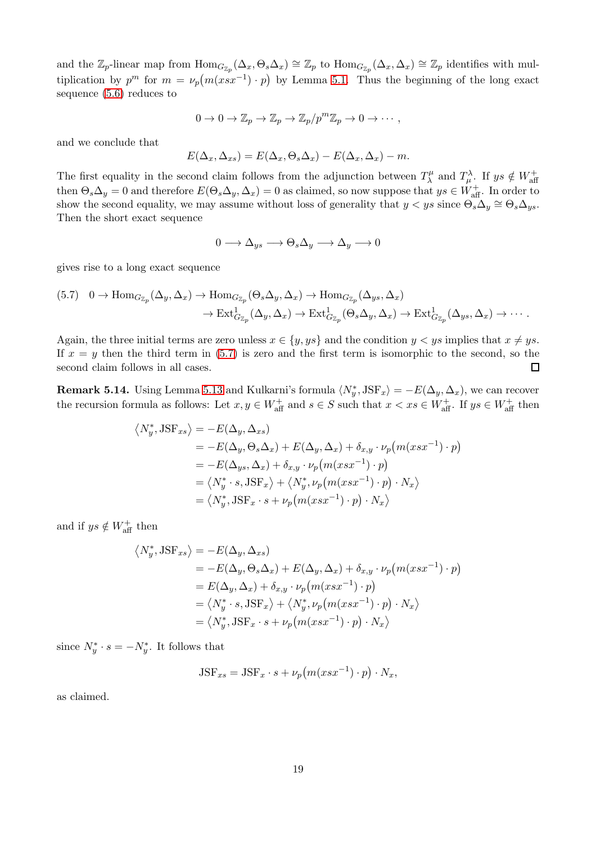and the  $\mathbb{Z}_p$ -linear map from  $\text{Hom}_{G_{\mathbb{Z}_p}}(\Delta_x, \Theta_s \Delta_x) \cong \mathbb{Z}_p$  to  $\text{Hom}_{G_{\mathbb{Z}_p}}(\Delta_x, \Delta_x) \cong \mathbb{Z}_p$  identifies with multiplication by  $p^m$  for  $m = \nu_p(m(xsx^{-1}) \cdot p)$  by Lemma [5.1.](#page-10-0) Thus the beginning of the long exact sequence [\(5.6\)](#page-17-2) reduces to

$$
0 \to 0 \to \mathbb{Z}_p \to \mathbb{Z}_p \to \mathbb{Z}_p/p^m\mathbb{Z}_p \to 0 \to \cdots,
$$

and we conclude that

$$
E(\Delta_x, \Delta_{xs}) = E(\Delta_x, \Theta_s \Delta_x) - E(\Delta_x, \Delta_x) - m.
$$

The first equality in the second claim follows from the adjunction between  $T^{\mu}_{\lambda}$  $T_{\lambda}^{\mu}$  and  $T_{\mu}^{\lambda}$ . If  $ys \notin W_{\text{aff}}^{+}$ then  $\Theta_s \Delta_y = 0$  and therefore  $E(\Theta_s \Delta_y, \Delta_x) = 0$  as claimed, so now suppose that  $ys \in W_{\text{aff}}^+$ . In order to show the second equality, we may assume without loss of generality that  $y < ys$  since  $\Theta_s \Delta_y \cong \Theta_s \Delta_{ys}$ . Then the short exact sequence

$$
0 \longrightarrow \Delta_{ys} \longrightarrow \Theta_s \Delta_y \longrightarrow \Delta_y \longrightarrow 0
$$

gives rise to a long exact sequence

<span id="page-18-1"></span>
$$
(5.7) \quad 0 \to \text{Hom}_{G_{\mathbb{Z}_p}}(\Delta_y, \Delta_x) \to \text{Hom}_{G_{\mathbb{Z}_p}}(\Theta_s \Delta_y, \Delta_x) \to \text{Hom}_{G_{\mathbb{Z}_p}}(\Delta_{ys}, \Delta_x)
$$

$$
\to \text{Ext}^1_{G_{\mathbb{Z}_p}}(\Delta_y, \Delta_x) \to \text{Ext}^1_{G_{\mathbb{Z}_p}}(\Theta_s \Delta_y, \Delta_x) \to \text{Ext}^1_{G_{\mathbb{Z}_p}}(\Delta_{ys}, \Delta_x) \to \cdots.
$$

Again, the three initial terms are zero unless  $x \in \{y, ys\}$  and the condition  $y < ys$  implies that  $x \neq ys$ . If  $x = y$  then the third term in [\(5.7\)](#page-18-1) is zero and the first term is isomorphic to the second, so the second claim follows in all cases.  $\Box$ 

<span id="page-18-0"></span>**Remark 5.14.** Using Lemma [5.13](#page-17-0) and Kulkarni's formula  $\langle N_y^*, JSF_x \rangle = -E(\Delta_y, \Delta_x)$ , we can recover the recursion formula as follows: Let  $x, y \in W_{\text{aff}}^+$  and  $s \in S$  such that  $x < xs \in W_{\text{aff}}^+$ . If  $ys \in W_{\text{aff}}^+$  then

$$
\langle N_y^*, \text{JSF}_{xs} \rangle = -E(\Delta_y, \Delta_{xs})
$$
  
=  $-E(\Delta_y, \Theta_s \Delta_x) + E(\Delta_y, \Delta_x) + \delta_{x,y} \cdot \nu_p(m(xsx^{-1}) \cdot p)$   
=  $-E(\Delta_{ys}, \Delta_x) + \delta_{x,y} \cdot \nu_p(m(xsx^{-1}) \cdot p)$   
=  $\langle N_y^* \cdot s, \text{JSF}_x \rangle + \langle N_y^*, \nu_p(m(xsx^{-1}) \cdot p) \cdot N_x \rangle$   
=  $\langle N_y^*, \text{JSF}_x \cdot s + \nu_p(m(xsx^{-1}) \cdot p) \cdot N_x \rangle$ 

and if  $ys \notin W_{\text{aff}}^+$  then

$$
\langle N_y^*, \text{JSF}_{xs} \rangle = -E(\Delta_y, \Delta_{xs})
$$
  
=  $-E(\Delta_y, \Theta_s \Delta_x) + E(\Delta_y, \Delta_x) + \delta_{x,y} \cdot \nu_p(m(xsx^{-1}) \cdot p)$   
=  $E(\Delta_y, \Delta_x) + \delta_{x,y} \cdot \nu_p(m(xsx^{-1}) \cdot p)$   
=  $\langle N_y^* \cdot s, \text{JSF}_x \rangle + \langle N_y^*, \nu_p(m(xsx^{-1}) \cdot p) \cdot N_x \rangle$   
=  $\langle N_y^*, \text{JSF}_x \cdot s + \nu_p(m(xsx^{-1}) \cdot p) \cdot N_x \rangle$ 

since  $N_y^* \cdot s = -N_y^*$ . It follows that

$$
JSF_{xs} = JSF_x \cdot s + \nu_p(m(xsx^{-1}) \cdot p) \cdot N_x,
$$

as claimed.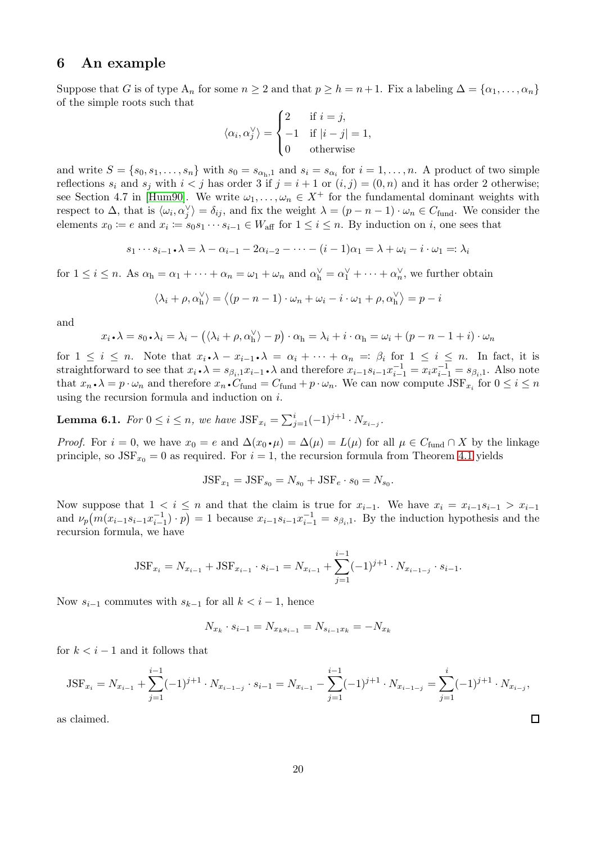### <span id="page-19-0"></span>6 An example

Suppose that G is of type  $A_n$  for some  $n \geq 2$  and that  $p \geq h = n+1$ . Fix a labeling  $\Delta = {\alpha_1, \dots, \alpha_n}$ of the simple roots such that

$$
\langle \alpha_i, \alpha_j^{\vee} \rangle = \begin{cases} 2 & \text{if } i = j, \\ -1 & \text{if } |i - j| = 1, \\ 0 & \text{otherwise} \end{cases}
$$

and write  $S = \{s_0, s_1, \ldots, s_n\}$  with  $s_0 = s_{\alpha_h,1}$  and  $s_i = s_{\alpha_i}$  for  $i = 1, \ldots, n$ . A product of two simple reflections  $s_i$  and  $s_j$  with  $i < j$  has order 3 if  $j = i + 1$  or  $(i, j) = (0, n)$  and it has order 2 otherwise; see Section 4.7 in [\[Hum90\]](#page-21-12). We write  $\omega_1, \ldots, \omega_n \in X^+$  for the fundamental dominant weights with respect to  $\Delta$ , that is  $\langle \omega_i, \alpha_j^{\vee} \rangle = \delta_{ij}$ , and fix the weight  $\lambda = (p - n - 1) \cdot \omega_n \in C_{\text{fund}}$ . We consider the elements  $x_0 := e$  and  $x_i := s_0 s_1 \cdots s_{i-1} \in W_{\text{aff}}$  for  $1 \leq i \leq n$ . By induction on i, one sees that

$$
s_1 \cdots s_{i-1} \cdot \lambda = \lambda - \alpha_{i-1} - 2\alpha_{i-2} - \cdots - (i-1)\alpha_1 = \lambda + \omega_i - i \cdot \omega_1 =: \lambda_i
$$

for  $1 \leq i \leq n$ . As  $\alpha_{h} = \alpha_{1} + \cdots + \alpha_{n} = \omega_{1} + \omega_{n}$  and  $\alpha_{h}^{\vee} = \alpha_{1}^{\vee} + \cdots + \alpha_{n}^{\vee}$ , we further obtain

$$
\langle \lambda_i + \rho, \alpha \rangle = \langle (p - n - 1) \cdot \omega_n + \omega_i - i \cdot \omega_1 + \rho, \alpha \rangle = p - i
$$

and

$$
x_i \cdot \lambda = s_0 \cdot \lambda_i = \lambda_i - (\langle \lambda_i + \rho, \alpha_h^{\vee} \rangle - p) \cdot \alpha_h = \lambda_i + i \cdot \alpha_h = \omega_i + (p - n - 1 + i) \cdot \omega_n
$$

for  $1 \leq i \leq n$ . Note that  $x_i \cdot \lambda - x_{i-1} \cdot \lambda = \alpha_i + \cdots + \alpha_n =: \beta_i$  for  $1 \leq i \leq n$ . In fact, it is straightforward to see that  $x_i \cdot \lambda = s_{\beta_i,1} x_{i-1} \cdot \lambda$  and therefore  $x_{i-1} s_{i-1}^{-1} = x_i x_{i-1}^{-1} = s_{\beta_i,1}$ . Also note that  $x_n \cdot \lambda = p \cdot \omega_n$  and therefore  $x_n \cdot C_{\text{fund}} = C_{\text{fund}} + p \cdot \omega_n$ . We can now compute  $\text{JSF}_{x_i}$  for  $0 \le i \le n$ using the recursion formula and induction on i.

<span id="page-19-1"></span>**Lemma 6.1.** For  $0 \le i \le n$ , we have  $JSF_{x_i} = \sum_{j=1}^{i} (-1)^{j+1} \cdot N_{x_{i-j}}$ .

*Proof.* For  $i = 0$ , we have  $x_0 = e$  and  $\Delta(x_0 \cdot \mu) = \Delta(\mu) = L(\mu)$  for all  $\mu \in C_{\text{fund}} \cap X$  by the linkage principle, so  $JSF_{x_0} = 0$  as required. For  $i = 1$ , the recursion formula from Theorem [4.1](#page-8-0) yields

$$
JSF_{x_1} = JSF_{s_0} = N_{s_0} + JSF_e \cdot s_0 = N_{s_0}.
$$

Now suppose that  $1 < i \leq n$  and that the claim is true for  $x_{i-1}$ . We have  $x_i = x_{i-1}s_{i-1} > x_{i-1}$ and  $\nu_p(m(x_{i-1}s_{i-1}x_{i-1}^{-1})\cdot p) = 1$  because  $x_{i-1}s_{i-1}x_{i-1}^{-1} = s_{\beta_i,1}$ . By the induction hypothesis and the recursion formula, we have

$$
JSF_{x_i} = N_{x_{i-1}} + JSF_{x_{i-1}} \cdot s_{i-1} = N_{x_{i-1}} + \sum_{j=1}^{i-1} (-1)^{j+1} \cdot N_{x_{i-1-j}} \cdot s_{i-1}.
$$

Now  $s_{i-1}$  commutes with  $s_{k-1}$  for all  $k < i-1$ , hence

$$
N_{x_k} \cdot s_{i-1} = N_{x_k s_{i-1}} = N_{s_{i-1} x_k} = -N_{x_k}
$$

for  $k < i - 1$  and it follows that

$$
JSF_{x_i} = N_{x_{i-1}} + \sum_{j=1}^{i-1} (-1)^{j+1} \cdot N_{x_{i-1-j}} \cdot s_{i-1} = N_{x_{i-1}} - \sum_{j=1}^{i-1} (-1)^{j+1} \cdot N_{x_{i-1-j}} = \sum_{j=1}^{i} (-1)^{j+1} \cdot N_{x_{i-j}},
$$

 $\Box$ 

as claimed.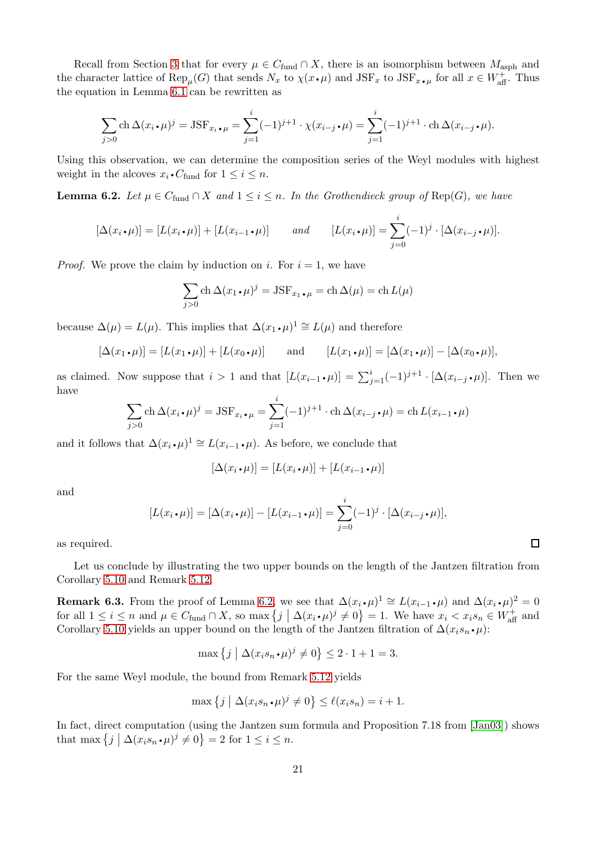Recall from Section [3](#page-5-0) that for every  $\mu \in C_{\text{fund}} \cap X$ , there is an isomorphism between  $M_{\text{asph}}$  and the character lattice of  $\text{Rep}_{\mu}(G)$  that sends  $N_x$  to  $\chi(x \cdot \mu)$  and  $\text{JSF}_x$  to  $\text{JSF}_{x \cdot \mu}$  for all  $x \in W_{\text{aff}}^+$ . Thus the equation in Lemma [6.1](#page-19-1) can be rewritten as

$$
\sum_{j>0} \operatorname{ch} \Delta(x_i \cdot \mu)^j = \operatorname{JSF}_{x_i \cdot \mu} = \sum_{j=1}^i (-1)^{j+1} \cdot \chi(x_{i-j} \cdot \mu) = \sum_{j=1}^i (-1)^{j+1} \cdot \operatorname{ch} \Delta(x_{i-j} \cdot \mu).
$$

Using this observation, we can determine the composition series of the Weyl modules with highest weight in the alcoves  $x_i \cdot C_{\text{fund}}$  for  $1 \leq i \leq n$ .

<span id="page-20-0"></span>**Lemma 6.2.** Let  $\mu \in C_{\text{fund}} \cap X$  and  $1 \leq i \leq n$ . In the Grothendieck group of Rep(G), we have

$$
[\Delta(x_i \cdot \mu)] = [L(x_i \cdot \mu)] + [L(x_{i-1} \cdot \mu)] \quad and \quad [L(x_i \cdot \mu)] = \sum_{j=0}^i (-1)^j \cdot [\Delta(x_{i-j} \cdot \mu)].
$$

*Proof.* We prove the claim by induction on i. For  $i = 1$ , we have

$$
\sum_{j>0} \text{ch} \,\Delta(x_1 \cdot \mu)^j = \text{JSF}_{x_1 \cdot \mu} = \text{ch} \,\Delta(\mu) = \text{ch} \, L(\mu)
$$

because  $\Delta(\mu) = L(\mu)$ . This implies that  $\Delta(x_1 \cdot \mu)^1 \cong L(\mu)$  and therefore

$$
[\Delta(x_1 \cdot \mu)] = [L(x_1 \cdot \mu)] + [L(x_0 \cdot \mu)] \quad \text{and} \quad [L(x_1 \cdot \mu)] = [\Delta(x_1 \cdot \mu)] - [\Delta(x_0 \cdot \mu)],
$$

as claimed. Now suppose that  $i > 1$  and that  $[L(x_{i-1} \cdot \mu)] = \sum_{j=1}^{i} (-1)^{j+1} \cdot [\Delta(x_{i-j} \cdot \mu)]$ . Then we have

$$
\sum_{j>0} \text{ch}\,\Delta(x_i \cdot \mu)^j = \text{JSF}_{x_i \cdot \mu} = \sum_{j=1}^i (-1)^{j+1} \cdot \text{ch}\,\Delta(x_{i-j} \cdot \mu) = \text{ch}\,L(x_{i-1} \cdot \mu)
$$

and it follows that  $\Delta(x_i \cdot \mu)^1 \cong L(x_{i-1} \cdot \mu)$ . As before, we conclude that

$$
[\Delta(x_i \cdot \mu)] = [L(x_i \cdot \mu)] + [L(x_{i-1} \cdot \mu)]
$$

and

$$
[L(x_i \cdot \mu)] = [\Delta(x_i \cdot \mu)] - [L(x_{i-1} \cdot \mu)] = \sum_{j=0}^{i} (-1)^j \cdot [\Delta(x_{i-j} \cdot \mu)],
$$

as required.

Let us conclude by illustrating the two upper bounds on the length of the Jantzen filtration from Corollary [5.10](#page-15-0) and Remark [5.12.](#page-16-0)

**Remark 6.3.** From the proof of Lemma [6.2,](#page-20-0) we see that  $\Delta(x_i \cdot \mu)^1 \cong L(x_{i-1} \cdot \mu)$  and  $\Delta(x_i \cdot \mu)^2 = 0$ for all  $1 \leq i \leq n$  and  $\mu \in C_{\text{fund}} \cap X$ , so max  $\{j \mid \Delta(x_i \cdot \mu)^j \neq 0\} = 1$ . We have  $x_i < x_i s_n \in W_{\text{aff}}^+$  and Corollary [5.10](#page-15-0) yields an upper bound on the length of the Jantzen filtration of  $\Delta(x_i s_n \cdot \mu)$ :

$$
\max\left\{j \mid \Delta(x_i s_n \cdot \mu)^j \neq 0\right\} \le 2 \cdot 1 + 1 = 3.
$$

For the same Weyl module, the bound from Remark [5.12](#page-16-0) yields

$$
\max\left\{j \mid \Delta(x_i s_n \cdot \mu)^j \neq 0\right\} \le \ell(x_i s_n) = i + 1.
$$

In fact, direct computation (using the Jantzen sum formula and Proposition 7.18 from [\[Jan03\]](#page-21-10)) shows that max  $\{j \mid \Delta(x_i s_n \cdot \mu)^j \neq 0\} = 2$  for  $1 \leq i \leq n$ .